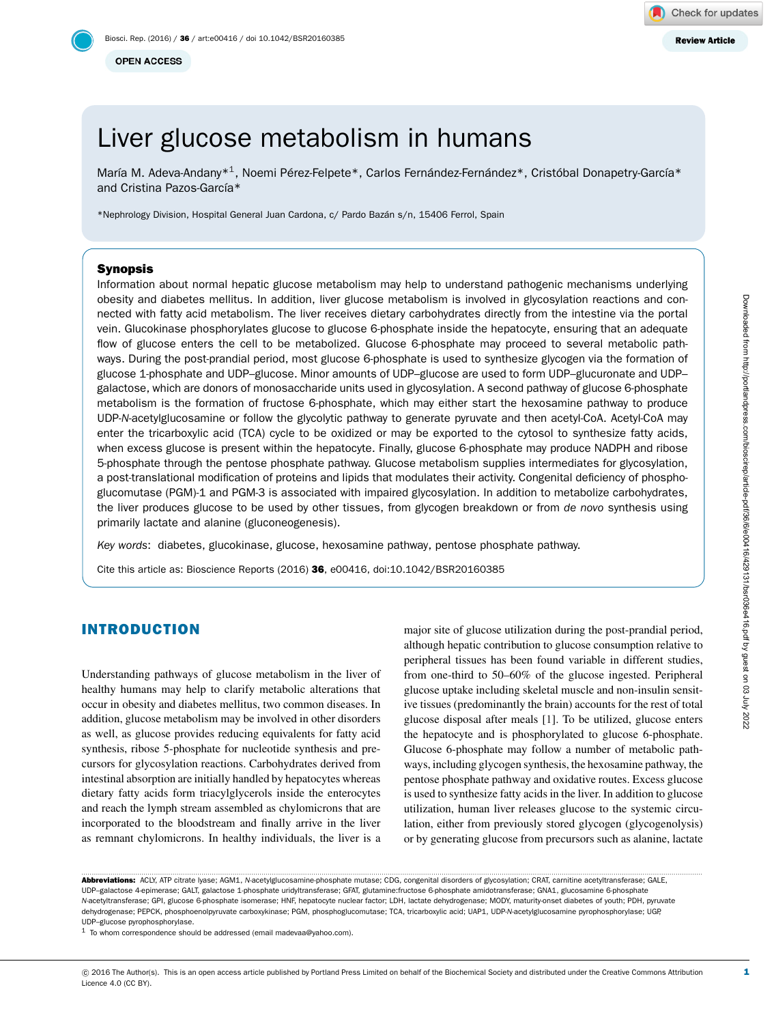**OPEN ACCESS** 

# Liver glucose metabolism in humans

María M. Adeva-Andany\*<sup>1</sup>, Noemi Pérez-Felpete\*, Carlos Fernández-Fernández\*, Cristóbal Donapetry-García\* and Cristina Pazos-García\*

\*Nephrology Division, Hospital General Juan Cardona, c/ Pardo Bazan s/n, 15406 Ferrol, Spain ´

# Synopsis

Information about normal hepatic glucose metabolism may help to understand pathogenic mechanisms underlying obesity and diabetes mellitus. In addition, liver glucose metabolism is involved in glycosylation reactions and connected with fatty acid metabolism. The liver receives dietary carbohydrates directly from the intestine via the portal vein. Glucokinase phosphorylates glucose to glucose 6-phosphate inside the hepatocyte, ensuring that an adequate flow of glucose enters the cell to be metabolized. Glucose 6-phosphate may proceed to several metabolic pathways. During the post-prandial period, most glucose 6-phosphate is used to synthesize glycogen via the formation of glucose 1-phosphate and UDP–glucose. Minor amounts of UDP–glucose are used to form UDP–glucuronate and UDP– galactose, which are donors of monosaccharide units used in glycosylation. A second pathway of glucose 6-phosphate metabolism is the formation of fructose 6-phosphate, which may either start the hexosamine pathway to produce UDP-*N*-acetylglucosamine or follow the glycolytic pathway to generate pyruvate and then acetyl-CoA. Acetyl-CoA may enter the tricarboxylic acid (TCA) cycle to be oxidized or may be exported to the cytosol to synthesize fatty acids, when excess glucose is present within the hepatocyte. Finally, glucose 6-phosphate may produce NADPH and ribose 5-phosphate through the pentose phosphate pathway. Glucose metabolism supplies intermediates for glycosylation, a post-translational modification of proteins and lipids that modulates their activity. Congenital deficiency of phosphoglucomutase (PGM)-1 and PGM-3 is associated with impaired glycosylation. In addition to metabolize carbohydrates, the liver produces glucose to be used by other tissues, from glycogen breakdown or from *de novo* synthesis using primarily lactate and alanine (gluconeogenesis).

*Key words*: diabetes, glucokinase, glucose, hexosamine pathway, pentose phosphate pathway.

Cite this article as: Bioscience Reports (2016) 36, e00416, doi:10.1042/BSR20160385

# INTRODUCTION

Understanding pathways of glucose metabolism in the liver of healthy humans may help to clarify metabolic alterations that occur in obesity and diabetes mellitus, two common diseases. In addition, glucose metabolism may be involved in other disorders as well, as glucose provides reducing equivalents for fatty acid synthesis, ribose 5-phosphate for nucleotide synthesis and precursors for glycosylation reactions. Carbohydrates derived from intestinal absorption are initially handled by hepatocytes whereas dietary fatty acids form triacylglycerols inside the enterocytes and reach the lymph stream assembled as chylomicrons that are incorporated to the bloodstream and finally arrive in the liver as remnant chylomicrons. In healthy individuals, the liver is a

major site of glucose utilization during the post-prandial period, although hepatic contribution to glucose consumption relative to peripheral tissues has been found variable in different studies, from one-third to 50–60% of the glucose ingested. Peripheral glucose uptake including skeletal muscle and non-insulin sensitive tissues (predominantly the brain) accounts for the rest of total glucose disposal after meals [\[1\]](#page-12-0). To be utilized, glucose enters the hepatocyte and is phosphorylated to glucose 6-phosphate. Glucose 6-phosphate may follow a number of metabolic pathways, including glycogen synthesis, the hexosamine pathway, the pentose phosphate pathway and oxidative routes. Excess glucose is used to synthesize fatty acids in the liver. In addition to glucose utilization, human liver releases glucose to the systemic circulation, either from previously stored glycogen (glycogenolysis) or by generating glucose from precursors such as alanine, lactate

............................................................................................................................................................................................................................................................................................................ Abbreviations: ACLY, ATP citrate lyase; AGM1, *N*-acetylglucosamine-phosphate mutase; CDG, congenital disorders of glycosylation; CRAT, carnitine acetyltransferase; GALE, UDP–galactose 4-epimerase; GALT, galactose 1-phosphate uridyltransferase; GFAT, glutamine:fructose 6-phosphate amidotransferase; GNA1, glucosamine 6-phosphate *N*-acetyltransferase; GPI, glucose 6-phosphate isomerase; HNF, hepatocyte nuclear factor; LDH, lactate dehydrogenase; MODY, maturity-onset diabetes of youth; PDH, pyruvate dehydrogenase; PEPCK, phosphoenolpyruvate carboxykinase; PGM, phosphoglucomutase; TCA, tricarboxylic acid; UAP1, UDP-*N*-acetylglucosamine pyrophosphorylase; UGP, UDP–glucose pyrophosphorylase.

<span id="page-0-0"></span> $1$  To whom correspondence should be addressed (email [madevaa@yahoo.com\)](mailto:madevaa@yahoo.com).

1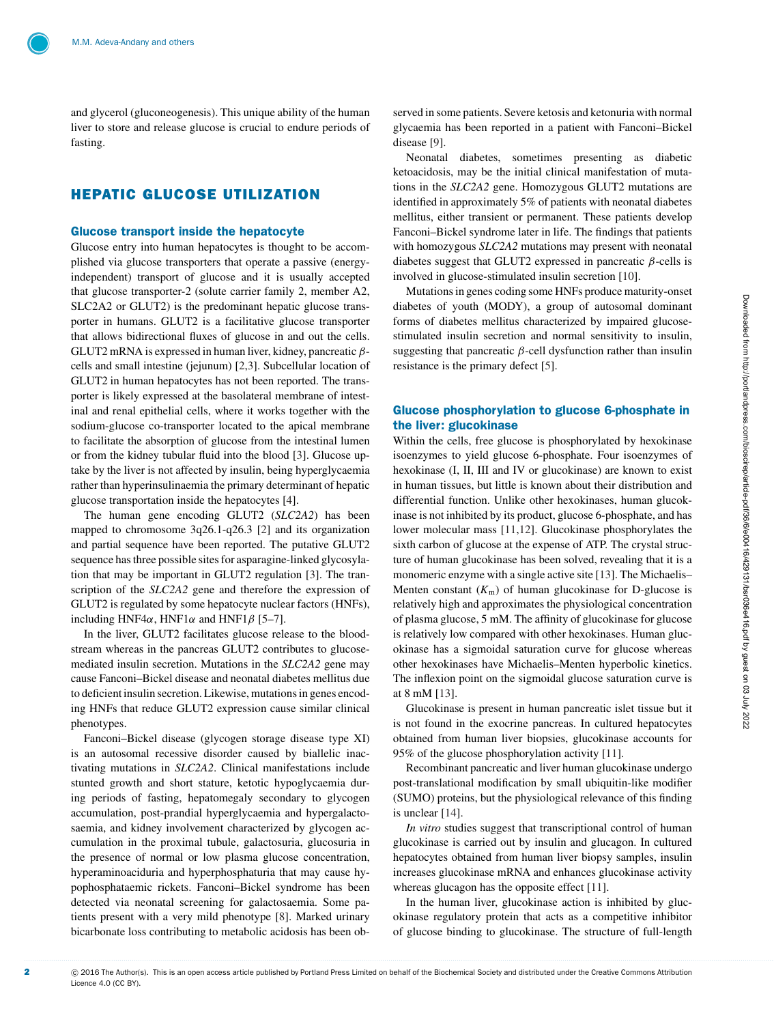and glycerol (gluconeogenesis). This unique ability of the human liver to store and release glucose is crucial to endure periods of fasting.

# HEPATIC GLUCOSE UTILIZATION

## Glucose transport inside the hepatocyte

Glucose entry into human hepatocytes is thought to be accomplished via glucose transporters that operate a passive (energyindependent) transport of glucose and it is usually accepted that glucose transporter-2 (solute carrier family 2, member A2, SLC2A2 or GLUT2) is the predominant hepatic glucose transporter in humans. GLUT2 is a facilitative glucose transporter that allows bidirectional fluxes of glucose in and out the cells. GLUT2 mRNA is expressed in human liver, kidney, pancreatic  $\beta$ cells and small intestine (jejunum) [\[2](#page-12-1)[,3\]](#page-12-2). Subcellular location of GLUT2 in human hepatocytes has not been reported. The transporter is likely expressed at the basolateral membrane of intestinal and renal epithelial cells, where it works together with the sodium-glucose co-transporter located to the apical membrane to facilitate the absorption of glucose from the intestinal lumen or from the kidney tubular fluid into the blood [\[3\]](#page-12-2). Glucose uptake by the liver is not affected by insulin, being hyperglycaemia rather than hyperinsulinaemia the primary determinant of hepatic glucose transportation inside the hepatocytes [\[4\]](#page-12-3).

The human gene encoding GLUT2 (*SLC2A2*) has been mapped to chromosome 3q26.1-q26.3 [\[2\]](#page-12-1) and its organization and partial sequence have been reported. The putative GLUT2 sequence has three possible sites for asparagine-linked glycosylation that may be important in GLUT2 regulation [\[3\]](#page-12-2). The transcription of the *SLC2A2* gene and therefore the expression of GLUT2 is regulated by some hepatocyte nuclear factors (HNFs), including HNF4 $\alpha$ , HNF1 $\alpha$  and HNF1 $\beta$  [\[5–](#page-12-4)[7\]](#page-12-5).

In the liver, GLUT2 facilitates glucose release to the bloodstream whereas in the pancreas GLUT2 contributes to glucosemediated insulin secretion. Mutations in the *SLC2A2* gene may cause Fanconi–Bickel disease and neonatal diabetes mellitus due to deficient insulin secretion. Likewise, mutations in genes encoding HNFs that reduce GLUT2 expression cause similar clinical phenotypes.

Fanconi–Bickel disease (glycogen storage disease type XI) is an autosomal recessive disorder caused by biallelic inactivating mutations in *SLC2A2*. Clinical manifestations include stunted growth and short stature, ketotic hypoglycaemia during periods of fasting, hepatomegaly secondary to glycogen accumulation, post-prandial hyperglycaemia and hypergalactosaemia, and kidney involvement characterized by glycogen accumulation in the proximal tubule, galactosuria, glucosuria in the presence of normal or low plasma glucose concentration, hyperaminoaciduria and hyperphosphaturia that may cause hypophosphataemic rickets. Fanconi–Bickel syndrome has been detected via neonatal screening for galactosaemia. Some patients present with a very mild phenotype [\[8\]](#page-12-6). Marked urinary bicarbonate loss contributing to metabolic acidosis has been observed in some patients. Severe ketosis and ketonuria with normal glycaemia has been reported in a patient with Fanconi–Bickel disease [\[9\]](#page-12-7).

Neonatal diabetes, sometimes presenting as diabetic ketoacidosis, may be the initial clinical manifestation of mutations in the *SLC2A2* gene. Homozygous GLUT2 mutations are identified in approximately 5% of patients with neonatal diabetes mellitus, either transient or permanent. These patients develop Fanconi–Bickel syndrome later in life. The findings that patients with homozygous *SLC2A2* mutations may present with neonatal diabetes suggest that GLUT2 expressed in pancreatic  $\beta$ -cells is involved in glucose-stimulated insulin secretion [\[10\]](#page-12-8).

Mutations in genes coding some HNFs produce maturity-onset diabetes of youth (MODY), a group of autosomal dominant forms of diabetes mellitus characterized by impaired glucosestimulated insulin secretion and normal sensitivity to insulin, suggesting that pancreatic  $\beta$ -cell dysfunction rather than insulin resistance is the primary defect [\[5\]](#page-12-4).

# Glucose phosphorylation to glucose 6-phosphate in the liver: glucokinase

Within the cells, free glucose is phosphorylated by hexokinase isoenzymes to yield glucose 6-phosphate. Four isoenzymes of hexokinase (I, II, III and IV or glucokinase) are known to exist in human tissues, but little is known about their distribution and differential function. Unlike other hexokinases, human glucokinase is not inhibited by its product, glucose 6-phosphate, and has lower molecular mass [\[11,](#page-12-9)[12\]](#page-12-10). Glucokinase phosphorylates the sixth carbon of glucose at the expense of ATP. The crystal structure of human glucokinase has been solved, revealing that it is a monomeric enzyme with a single active site [\[13\]](#page-12-11). The Michaelis– Menten constant  $(K<sub>m</sub>)$  of human glucokinase for D-glucose is relatively high and approximates the physiological concentration of plasma glucose, 5 mM. The affinity of glucokinase for glucose is relatively low compared with other hexokinases. Human glucokinase has a sigmoidal saturation curve for glucose whereas other hexokinases have Michaelis–Menten hyperbolic kinetics. The inflexion point on the sigmoidal glucose saturation curve is at 8 mM [\[13\]](#page-12-11).

Glucokinase is present in human pancreatic islet tissue but it is not found in the exocrine pancreas. In cultured hepatocytes obtained from human liver biopsies, glucokinase accounts for 95% of the glucose phosphorylation activity [\[11\]](#page-12-9).

Recombinant pancreatic and liver human glucokinase undergo post-translational modification by small ubiquitin-like modifier (SUMO) proteins, but the physiological relevance of this finding is unclear [\[14\]](#page-12-12).

*In vitro* studies suggest that transcriptional control of human glucokinase is carried out by insulin and glucagon. In cultured hepatocytes obtained from human liver biopsy samples, insulin increases glucokinase mRNA and enhances glucokinase activity whereas glucagon has the opposite effect [\[11\]](#page-12-9).

In the human liver, glucokinase action is inhibited by glucokinase regulatory protein that acts as a competitive inhibitor of glucose binding to glucokinase. The structure of full-length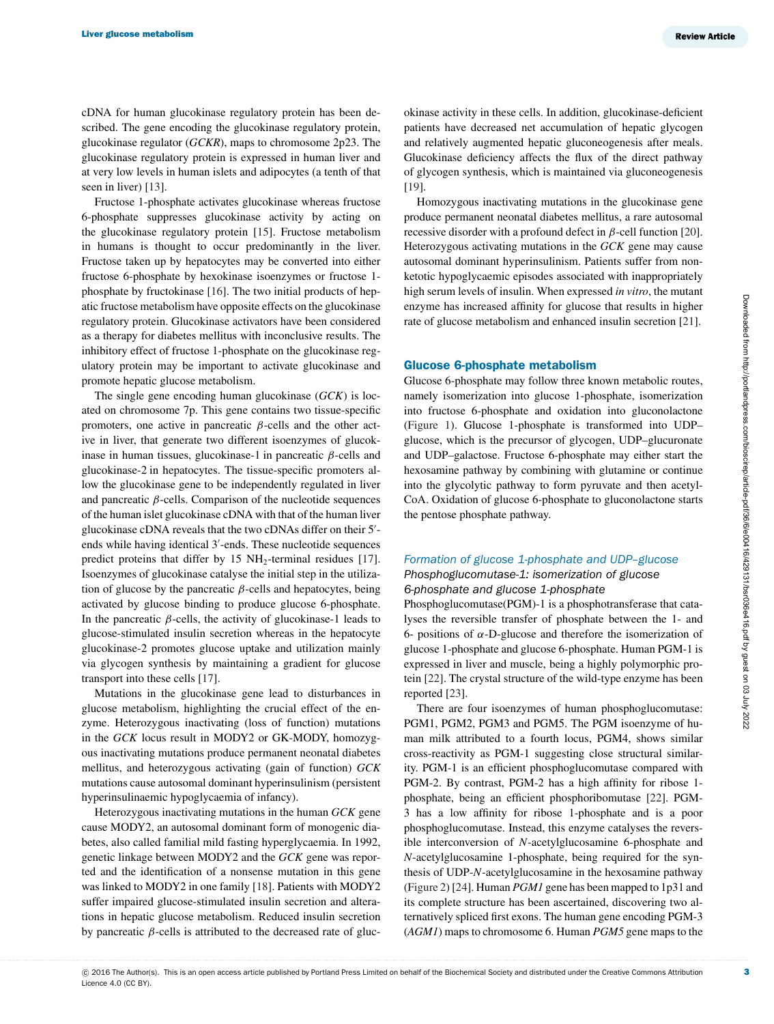cDNA for human glucokinase regulatory protein has been described. The gene encoding the glucokinase regulatory protein, glucokinase regulator (*GCKR*), maps to chromosome 2p23. The glucokinase regulatory protein is expressed in human liver and at very low levels in human islets and adipocytes (a tenth of that seen in liver) [\[13\]](#page-12-11).

Fructose 1-phosphate activates glucokinase whereas fructose 6-phosphate suppresses glucokinase activity by acting on the glucokinase regulatory protein [\[15\]](#page-12-13). Fructose metabolism in humans is thought to occur predominantly in the liver. Fructose taken up by hepatocytes may be converted into either fructose 6-phosphate by hexokinase isoenzymes or fructose 1 phosphate by fructokinase [\[16\]](#page-12-14). The two initial products of hepatic fructose metabolism have opposite effects on the glucokinase regulatory protein. Glucokinase activators have been considered as a therapy for diabetes mellitus with inconclusive results. The inhibitory effect of fructose 1-phosphate on the glucokinase regulatory protein may be important to activate glucokinase and promote hepatic glucose metabolism.

The single gene encoding human glucokinase (*GCK*) is located on chromosome 7p. This gene contains two tissue-specific promoters, one active in pancreatic β-cells and the other active in liver, that generate two different isoenzymes of glucokinase in human tissues, glucokinase-1 in pancreatic  $\beta$ -cells and glucokinase-2 in hepatocytes. The tissue-specific promoters allow the glucokinase gene to be independently regulated in liver and pancreatic  $\beta$ -cells. Comparison of the nucleotide sequences of the human islet glucokinase cDNA with that of the human liver glucokinase cDNA reveals that the two cDNAs differ on their 5'ends while having identical 3'-ends. These nucleotide sequences predict proteins that differ by  $15 \text{ NH}_2$ -terminal residues [\[17\]](#page-12-15). Isoenzymes of glucokinase catalyse the initial step in the utilization of glucose by the pancreatic  $\beta$ -cells and hepatocytes, being activated by glucose binding to produce glucose 6-phosphate. In the pancreatic  $\beta$ -cells, the activity of glucokinase-1 leads to glucose-stimulated insulin secretion whereas in the hepatocyte glucokinase-2 promotes glucose uptake and utilization mainly via glycogen synthesis by maintaining a gradient for glucose transport into these cells [\[17\]](#page-12-15).

Mutations in the glucokinase gene lead to disturbances in glucose metabolism, highlighting the crucial effect of the enzyme. Heterozygous inactivating (loss of function) mutations in the *GCK* locus result in MODY2 or GK-MODY, homozygous inactivating mutations produce permanent neonatal diabetes mellitus, and heterozygous activating (gain of function) *GCK* mutations cause autosomal dominant hyperinsulinism (persistent hyperinsulinaemic hypoglycaemia of infancy).

Heterozygous inactivating mutations in the human *GCK* gene cause MODY2, an autosomal dominant form of monogenic diabetes, also called familial mild fasting hyperglycaemia. In 1992, genetic linkage between MODY2 and the *GCK* gene was reported and the identification of a nonsense mutation in this gene was linked to MODY2 in one family [\[18\]](#page-12-16). Patients with MODY2 suffer impaired glucose-stimulated insulin secretion and alterations in hepatic glucose metabolism. Reduced insulin secretion by pancreatic  $β$ -cells is attributed to the decreased rate of gluc-

okinase activity in these cells. In addition, glucokinase-deficient patients have decreased net accumulation of hepatic glycogen and relatively augmented hepatic gluconeogenesis after meals. Glucokinase deficiency affects the flux of the direct pathway of glycogen synthesis, which is maintained via gluconeogenesis [\[19\]](#page-12-17).

Homozygous inactivating mutations in the glucokinase gene produce permanent neonatal diabetes mellitus, a rare autosomal recessive disorder with a profound defect in  $\beta$ -cell function [\[20\]](#page-12-18). Heterozygous activating mutations in the *GCK* gene may cause autosomal dominant hyperinsulinism. Patients suffer from nonketotic hypoglycaemic episodes associated with inappropriately high serum levels of insulin. When expressed *in vitro*, the mutant enzyme has increased affinity for glucose that results in higher rate of glucose metabolism and enhanced insulin secretion [\[21\]](#page-13-0).

#### Glucose 6-phosphate metabolism

Glucose 6-phosphate may follow three known metabolic routes, namely isomerization into glucose 1-phosphate, isomerization into fructose 6-phosphate and oxidation into gluconolactone [\(Figure 1\)](#page-3-0). Glucose 1-phosphate is transformed into UDP– glucose, which is the precursor of glycogen, UDP–glucuronate and UDP–galactose. Fructose 6-phosphate may either start the hexosamine pathway by combining with glutamine or continue into the glycolytic pathway to form pyruvate and then acetyl-CoA. Oxidation of glucose 6-phosphate to gluconolactone starts the pentose phosphate pathway.

## *Formation of glucose 1-phosphate and UDP–glucose Phosphoglucomutase-1: isomerization of glucose 6-phosphate and glucose 1-phosphate*

Phosphoglucomutase(PGM)-1 is a phosphotransferase that catalyses the reversible transfer of phosphate between the 1- and 6- positions of α-D-glucose and therefore the isomerization of glucose 1-phosphate and glucose 6-phosphate. Human PGM-1 is expressed in liver and muscle, being a highly polymorphic protein [\[22\]](#page-13-1). The crystal structure of the wild-type enzyme has been reported [\[23\]](#page-13-2).

There are four isoenzymes of human phosphoglucomutase: PGM1, PGM2, PGM3 and PGM5. The PGM isoenzyme of human milk attributed to a fourth locus, PGM4, shows similar cross-reactivity as PGM-1 suggesting close structural similarity. PGM-1 is an efficient phosphoglucomutase compared with PGM-2. By contrast, PGM-2 has a high affinity for ribose 1 phosphate, being an efficient phosphoribomutase [\[22\]](#page-13-1). PGM-3 has a low affinity for ribose 1-phosphate and is a poor phosphoglucomutase. Instead, this enzyme catalyses the reversible interconversion of *N*-acetylglucosamine 6-phosphate and *N*-acetylglucosamine 1-phosphate, being required for the synthesis of UDP-*N*-acetylglucosamine in the hexosamine pathway [\(Figure 2\)](#page-3-1) [\[24\]](#page-13-3). Human *PGM1* gene has been mapped to 1p31 and its complete structure has been ascertained, discovering two alternatively spliced first exons. The human gene encoding PGM-3 (*AGM1*) maps to chromosome 6. Human *PGM5* gene maps to the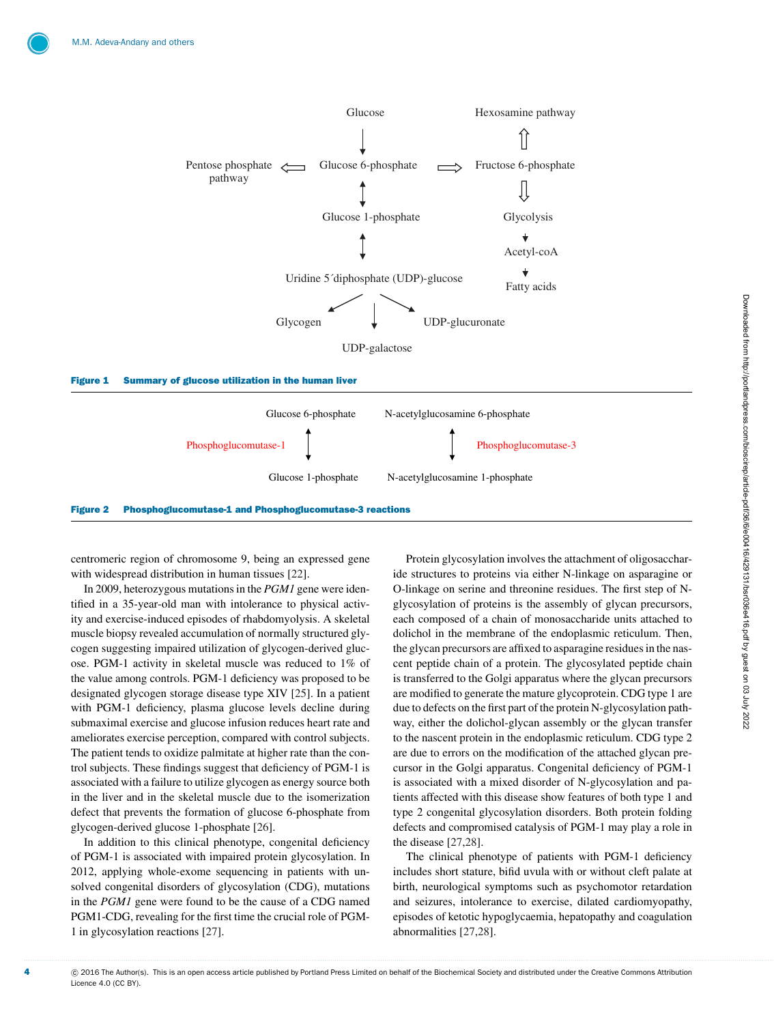<span id="page-3-0"></span>

<span id="page-3-1"></span>

centromeric region of chromosome 9, being an expressed gene with widespread distribution in human tissues [\[22\]](#page-13-1).

In 2009, heterozygous mutations in the *PGM1* gene were identified in a 35-year-old man with intolerance to physical activity and exercise-induced episodes of rhabdomyolysis. A skeletal muscle biopsy revealed accumulation of normally structured glycogen suggesting impaired utilization of glycogen-derived glucose. PGM-1 activity in skeletal muscle was reduced to 1% of the value among controls. PGM-1 deficiency was proposed to be designated glycogen storage disease type XIV [\[25\]](#page-13-4). In a patient with PGM-1 deficiency, plasma glucose levels decline during submaximal exercise and glucose infusion reduces heart rate and ameliorates exercise perception, compared with control subjects. The patient tends to oxidize palmitate at higher rate than the control subjects. These findings suggest that deficiency of PGM-1 is associated with a failure to utilize glycogen as energy source both in the liver and in the skeletal muscle due to the isomerization defect that prevents the formation of glucose 6-phosphate from glycogen-derived glucose 1-phosphate [\[26\]](#page-13-5).

In addition to this clinical phenotype, congenital deficiency of PGM-1 is associated with impaired protein glycosylation. In 2012, applying whole-exome sequencing in patients with unsolved congenital disorders of glycosylation (CDG), mutations in the *PGM1* gene were found to be the cause of a CDG named PGM1-CDG, revealing for the first time the crucial role of PGM-1 in glycosylation reactions [\[27\]](#page-13-6).

Protein glycosylation involves the attachment of oligosaccharide structures to proteins via either N-linkage on asparagine or O-linkage on serine and threonine residues. The first step of Nglycosylation of proteins is the assembly of glycan precursors, each composed of a chain of monosaccharide units attached to dolichol in the membrane of the endoplasmic reticulum. Then, the glycan precursors are affixed to asparagine residues in the nascent peptide chain of a protein. The glycosylated peptide chain is transferred to the Golgi apparatus where the glycan precursors are modified to generate the mature glycoprotein. CDG type 1 are due to defects on the first part of the protein N-glycosylation pathway, either the dolichol-glycan assembly or the glycan transfer to the nascent protein in the endoplasmic reticulum. CDG type 2 are due to errors on the modification of the attached glycan precursor in the Golgi apparatus. Congenital deficiency of PGM-1 is associated with a mixed disorder of N-glycosylation and patients affected with this disease show features of both type 1 and type 2 congenital glycosylation disorders. Both protein folding defects and compromised catalysis of PGM-1 may play a role in the disease [\[27](#page-13-6)[,28\]](#page-13-7).

The clinical phenotype of patients with PGM-1 deficiency includes short stature, bifid uvula with or without cleft palate at birth, neurological symptoms such as psychomotor retardation and seizures, intolerance to exercise, dilated cardiomyopathy, episodes of ketotic hypoglycaemia, hepatopathy and coagulation abnormalities [\[27,](#page-13-6)[28\]](#page-13-7).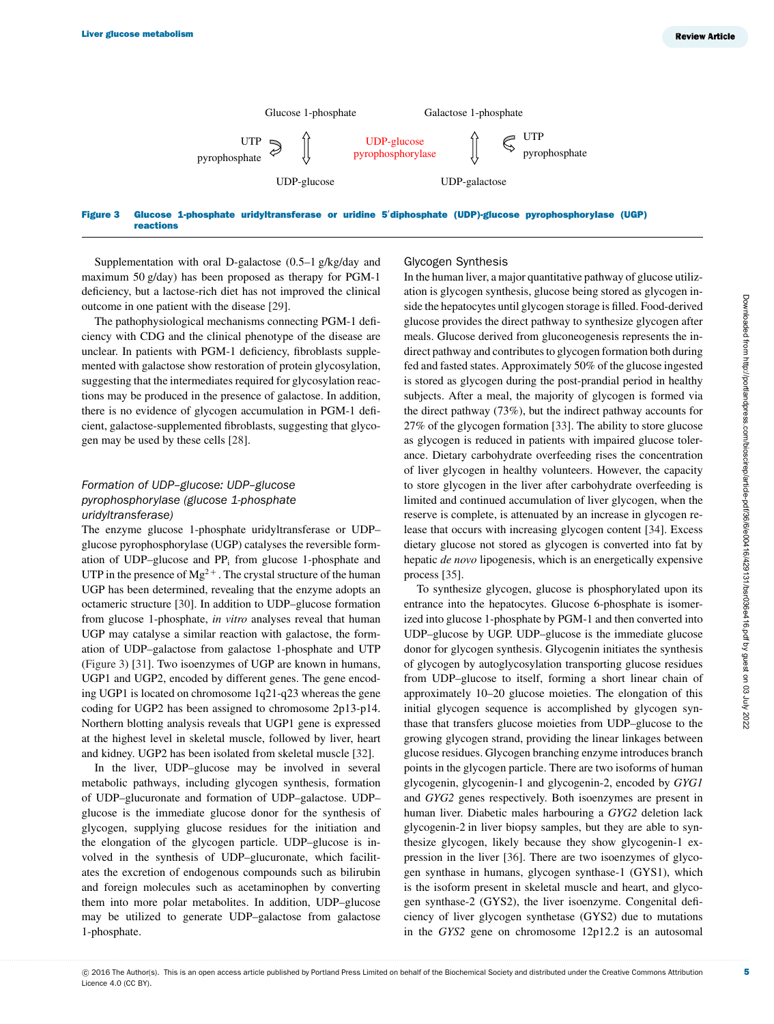<span id="page-4-0"></span>

Figure 3 Glucose 1-phosphate uridyltransferase or uridine 5**-** diphosphate (UDP)-glucose pyrophosphorylase (UGP) reactions

Supplementation with oral D-galactose (0.5–1 g/kg/day and maximum 50 g/day) has been proposed as therapy for PGM-1 deficiency, but a lactose-rich diet has not improved the clinical outcome in one patient with the disease [\[29\]](#page-13-8).

The pathophysiological mechanisms connecting PGM-1 deficiency with CDG and the clinical phenotype of the disease are unclear. In patients with PGM-1 deficiency, fibroblasts supplemented with galactose show restoration of protein glycosylation, suggesting that the intermediates required for glycosylation reactions may be produced in the presence of galactose. In addition, there is no evidence of glycogen accumulation in PGM-1 deficient, galactose-supplemented fibroblasts, suggesting that glycogen may be used by these cells [\[28\]](#page-13-7).

## *Formation of UDP–glucose: UDP–glucose pyrophosphorylase (glucose 1-phosphate uridyltransferase)*

The enzyme glucose 1-phosphate uridyltransferase or UDP– glucose pyrophosphorylase (UGP) catalyses the reversible formation of UDP-glucose and PP<sub>i</sub> from glucose 1-phosphate and UTP in the presence of  $Mg^{2+}$ . The crystal structure of the human UGP has been determined, revealing that the enzyme adopts an octameric structure [\[30\]](#page-13-9). In addition to UDP–glucose formation from glucose 1-phosphate, *in vitro* analyses reveal that human UGP may catalyse a similar reaction with galactose, the formation of UDP–galactose from galactose 1-phosphate and UTP [\(Figure 3\)](#page-4-0) [\[31\]](#page-13-10). Two isoenzymes of UGP are known in humans, UGP1 and UGP2, encoded by different genes. The gene encoding UGP1 is located on chromosome 1q21-q23 whereas the gene coding for UGP2 has been assigned to chromosome 2p13-p14. Northern blotting analysis reveals that UGP1 gene is expressed at the highest level in skeletal muscle, followed by liver, heart and kidney. UGP2 has been isolated from skeletal muscle [\[32\]](#page-13-11).

In the liver, UDP–glucose may be involved in several metabolic pathways, including glycogen synthesis, formation of UDP–glucuronate and formation of UDP–galactose. UDP– glucose is the immediate glucose donor for the synthesis of glycogen, supplying glucose residues for the initiation and the elongation of the glycogen particle. UDP–glucose is involved in the synthesis of UDP–glucuronate, which facilitates the excretion of endogenous compounds such as bilirubin and foreign molecules such as acetaminophen by converting them into more polar metabolites. In addition, UDP–glucose may be utilized to generate UDP–galactose from galactose 1-phosphate.

#### Glycogen Synthesis

In the human liver, a major quantitative pathway of glucose utilization is glycogen synthesis, glucose being stored as glycogen inside the hepatocytes until glycogen storage is filled. Food-derived glucose provides the direct pathway to synthesize glycogen after meals. Glucose derived from gluconeogenesis represents the indirect pathway and contributes to glycogen formation both during fed and fasted states. Approximately 50% of the glucose ingested is stored as glycogen during the post-prandial period in healthy subjects. After a meal, the majority of glycogen is formed via the direct pathway (73%), but the indirect pathway accounts for 27% of the glycogen formation [\[33\]](#page-13-12). The ability to store glucose as glycogen is reduced in patients with impaired glucose tolerance. Dietary carbohydrate overfeeding rises the concentration of liver glycogen in healthy volunteers. However, the capacity to store glycogen in the liver after carbohydrate overfeeding is limited and continued accumulation of liver glycogen, when the reserve is complete, is attenuated by an increase in glycogen release that occurs with increasing glycogen content [\[34\]](#page-13-13). Excess dietary glucose not stored as glycogen is converted into fat by hepatic *de novo* lipogenesis, which is an energetically expensive process [\[35\]](#page-13-14).

To synthesize glycogen, glucose is phosphorylated upon its entrance into the hepatocytes. Glucose 6-phosphate is isomerized into glucose 1-phosphate by PGM-1 and then converted into UDP–glucose by UGP. UDP–glucose is the immediate glucose donor for glycogen synthesis. Glycogenin initiates the synthesis of glycogen by autoglycosylation transporting glucose residues from UDP–glucose to itself, forming a short linear chain of approximately 10–20 glucose moieties. The elongation of this initial glycogen sequence is accomplished by glycogen synthase that transfers glucose moieties from UDP–glucose to the growing glycogen strand, providing the linear linkages between glucose residues. Glycogen branching enzyme introduces branch points in the glycogen particle. There are two isoforms of human glycogenin, glycogenin-1 and glycogenin-2, encoded by *GYG1* and *GYG2* genes respectively. Both isoenzymes are present in human liver. Diabetic males harbouring a *GYG2* deletion lack glycogenin-2 in liver biopsy samples, but they are able to synthesize glycogen, likely because they show glycogenin-1 expression in the liver [\[36\]](#page-13-15). There are two isoenzymes of glycogen synthase in humans, glycogen synthase-1 (GYS1), which is the isoform present in skeletal muscle and heart, and glycogen synthase-2 (GYS2), the liver isoenzyme. Congenital deficiency of liver glycogen synthetase (GYS2) due to mutations in the *GYS2* gene on chromosome 12p12.2 is an autosomal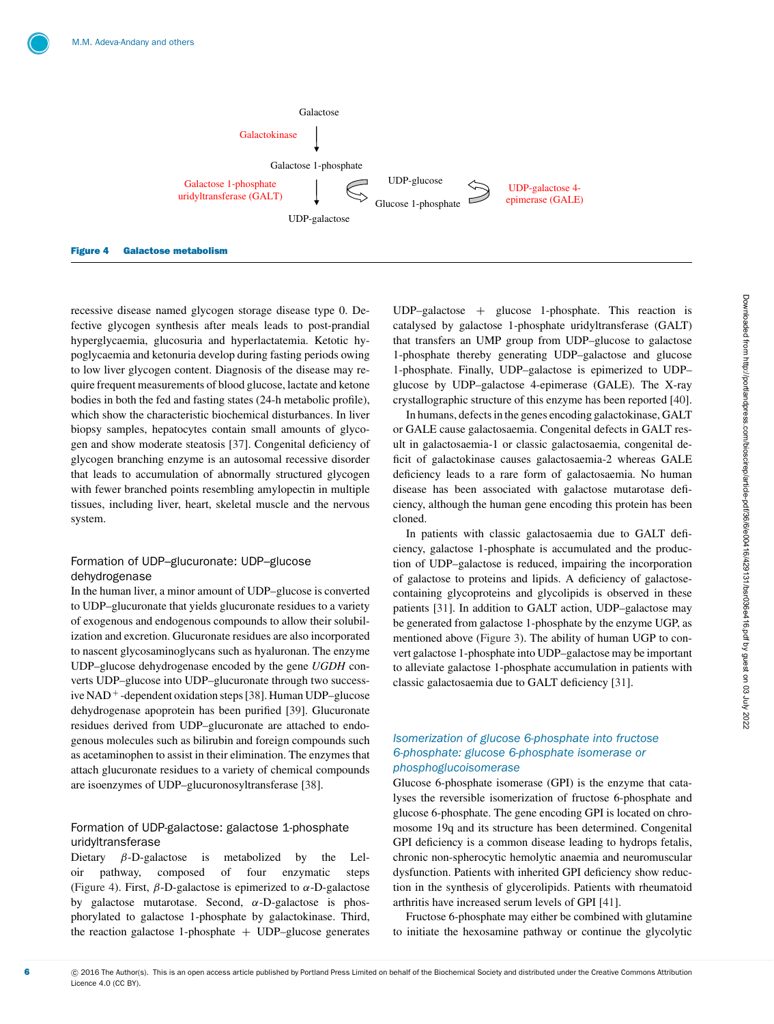<span id="page-5-0"></span>

recessive disease named glycogen storage disease type 0. Defective glycogen synthesis after meals leads to post-prandial hyperglycaemia, glucosuria and hyperlactatemia. Ketotic hypoglycaemia and ketonuria develop during fasting periods owing to low liver glycogen content. Diagnosis of the disease may require frequent measurements of blood glucose, lactate and ketone bodies in both the fed and fasting states (24-h metabolic profile), which show the characteristic biochemical disturbances. In liver biopsy samples, hepatocytes contain small amounts of glycogen and show moderate steatosis [\[37\]](#page-13-16). Congenital deficiency of glycogen branching enzyme is an autosomal recessive disorder that leads to accumulation of abnormally structured glycogen with fewer branched points resembling amylopectin in multiple tissues, including liver, heart, skeletal muscle and the nervous system.

## Formation of UDP–glucuronate: UDP–glucose dehydrogenase

In the human liver, a minor amount of UDP–glucose is converted to UDP–glucuronate that yields glucuronate residues to a variety of exogenous and endogenous compounds to allow their solubilization and excretion. Glucuronate residues are also incorporated to nascent glycosaminoglycans such as hyaluronan. The enzyme UDP–glucose dehydrogenase encoded by the gene *UGDH* converts UDP–glucose into UDP–glucuronate through two successive NAD <sup>+</sup> -dependent oxidation steps [\[38\]](#page-13-17). Human UDP–glucose dehydrogenase apoprotein has been purified [\[39\]](#page-13-18). Glucuronate residues derived from UDP–glucuronate are attached to endogenous molecules such as bilirubin and foreign compounds such as acetaminophen to assist in their elimination. The enzymes that attach glucuronate residues to a variety of chemical compounds are isoenzymes of UDP–glucuronosyltransferase [\[38\]](#page-13-17).

## Formation of UDP-galactose: galactose 1-phosphate uridyltransferase

Dietary  $\beta$ -D-galactose is metabolized by the Leloir pathway, composed of four enzymatic steps [\(Figure 4\)](#page-5-0). First,  $\beta$ -D-galactose is epimerized to  $\alpha$ -D-galactose by galactose mutarotase. Second,  $\alpha$ -D-galactose is phosphorylated to galactose 1-phosphate by galactokinase. Third, the reaction galactose 1-phosphate  $+$  UDP–glucose generates UDP–galactose  $+$  glucose 1-phosphate. This reaction is catalysed by galactose 1-phosphate uridyltransferase (GALT) that transfers an UMP group from UDP–glucose to galactose 1-phosphate thereby generating UDP–galactose and glucose 1-phosphate. Finally, UDP–galactose is epimerized to UDP– glucose by UDP–galactose 4-epimerase (GALE). The X-ray crystallographic structure of this enzyme has been reported [\[40\]](#page-13-19).

In humans, defects in the genes encoding galactokinase, GALT or GALE cause galactosaemia. Congenital defects in GALT result in galactosaemia-1 or classic galactosaemia, congenital deficit of galactokinase causes galactosaemia-2 whereas GALE deficiency leads to a rare form of galactosaemia. No human disease has been associated with galactose mutarotase deficiency, although the human gene encoding this protein has been cloned.

In patients with classic galactosaemia due to GALT deficiency, galactose 1-phosphate is accumulated and the production of UDP–galactose is reduced, impairing the incorporation of galactose to proteins and lipids. A deficiency of galactosecontaining glycoproteins and glycolipids is observed in these patients [\[31\]](#page-13-10). In addition to GALT action, UDP–galactose may be generated from galactose 1-phosphate by the enzyme UGP, as mentioned above [\(Figure 3\)](#page-4-0). The ability of human UGP to convert galactose 1-phosphate into UDP–galactose may be important to alleviate galactose 1-phosphate accumulation in patients with classic galactosaemia due to GALT deficiency [\[31\]](#page-13-10).

# *Isomerization of glucose 6-phosphate into fructose 6-phosphate: glucose 6-phosphate isomerase or phosphoglucoisomerase*

Glucose 6-phosphate isomerase (GPI) is the enzyme that catalyses the reversible isomerization of fructose 6-phosphate and glucose 6-phosphate. The gene encoding GPI is located on chromosome 19q and its structure has been determined. Congenital GPI deficiency is a common disease leading to hydrops fetalis, chronic non-spherocytic hemolytic anaemia and neuromuscular dysfunction. Patients with inherited GPI deficiency show reduction in the synthesis of glycerolipids. Patients with rheumatoid arthritis have increased serum levels of GPI [\[41\]](#page-13-20).

Fructose 6-phosphate may either be combined with glutamine to initiate the hexosamine pathway or continue the glycolytic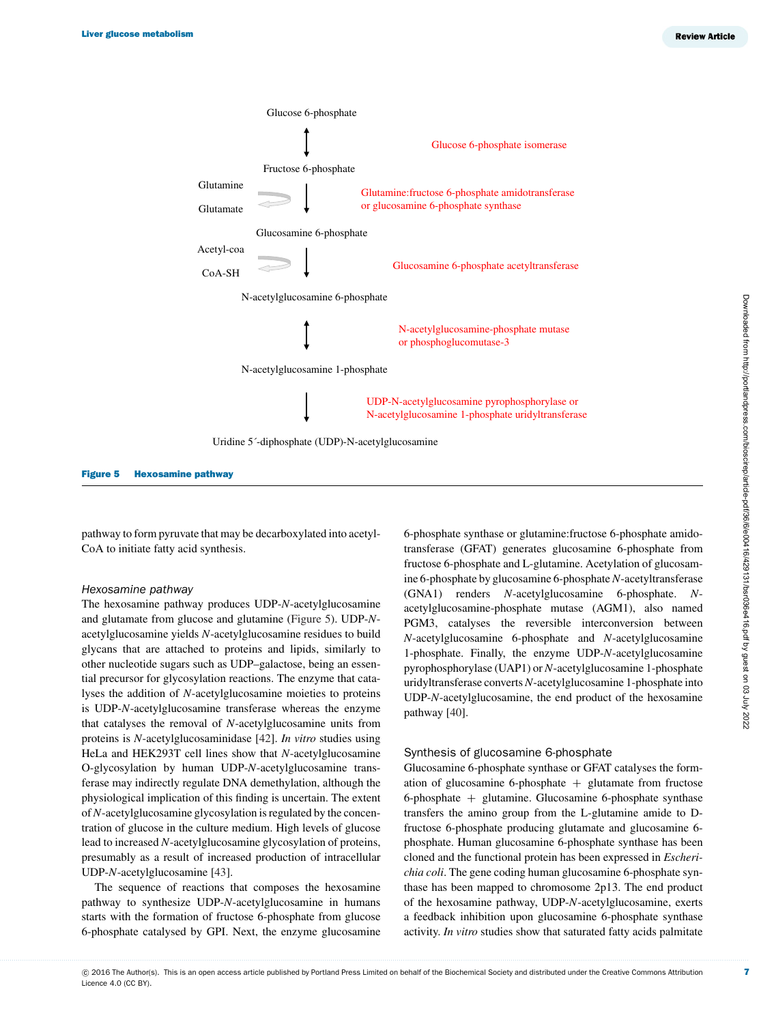<span id="page-6-0"></span>

Figure 5 Hexosamine pathway

pathway to form pyruvate that may be decarboxylated into acetyl-CoA to initiate fatty acid synthesis.

#### *Hexosamine pathway*

The hexosamine pathway produces UDP-*N*-acetylglucosamine and glutamate from glucose and glutamine [\(Figure 5\)](#page-6-0). UDP-*N*acetylglucosamine yields *N*-acetylglucosamine residues to build glycans that are attached to proteins and lipids, similarly to other nucleotide sugars such as UDP–galactose, being an essential precursor for glycosylation reactions. The enzyme that catalyses the addition of *N*-acetylglucosamine moieties to proteins is UDP-*N*-acetylglucosamine transferase whereas the enzyme that catalyses the removal of *N*-acetylglucosamine units from proteins is *N*-acetylglucosaminidase [\[42\]](#page-13-21). *In vitro* studies using HeLa and HEK293T cell lines show that *N*-acetylglucosamine O-glycosylation by human UDP-*N*-acetylglucosamine transferase may indirectly regulate DNA demethylation, although the physiological implication of this finding is uncertain. The extent of *N*-acetylglucosamine glycosylation is regulated by the concentration of glucose in the culture medium. High levels of glucose lead to increased *N*-acetylglucosamine glycosylation of proteins, presumably as a result of increased production of intracellular UDP-*N*-acetylglucosamine [\[43\]](#page-13-22).

The sequence of reactions that composes the hexosamine pathway to synthesize UDP-*N*-acetylglucosamine in humans starts with the formation of fructose 6-phosphate from glucose 6-phosphate catalysed by GPI. Next, the enzyme glucosamine

6-phosphate synthase or glutamine:fructose 6-phosphate amidotransferase (GFAT) generates glucosamine 6-phosphate from fructose 6-phosphate and L-glutamine. Acetylation of glucosamine 6-phosphate by glucosamine 6-phosphate*N*-acetyltransferase (GNA1) renders *N*-acetylglucosamine 6-phosphate. *N*acetylglucosamine-phosphate mutase (AGM1), also named PGM3, catalyses the reversible interconversion between *N*-acetylglucosamine 6-phosphate and *N*-acetylglucosamine 1-phosphate. Finally, the enzyme UDP-*N*-acetylglucosamine pyrophosphorylase (UAP1) or *N*-acetylglucosamine 1-phosphate uridyltransferase converts *N*-acetylglucosamine 1-phosphate into UDP-*N*-acetylglucosamine, the end product of the hexosamine pathway [\[40\]](#page-13-19).

#### Synthesis of glucosamine 6-phosphate

Glucosamine 6-phosphate synthase or GFAT catalyses the formation of glucosamine 6-phosphate  $+$  glutamate from fructose 6-phosphate + glutamine. Glucosamine 6-phosphate synthase transfers the amino group from the L-glutamine amide to Dfructose 6-phosphate producing glutamate and glucosamine 6 phosphate. Human glucosamine 6-phosphate synthase has been cloned and the functional protein has been expressed in *Escherichia coli*. The gene coding human glucosamine 6-phosphate synthase has been mapped to chromosome 2p13. The end product of the hexosamine pathway, UDP-*N*-acetylglucosamine, exerts a feedback inhibition upon glucosamine 6-phosphate synthase activity. *In vitro* studies show that saturated fatty acids palmitate

7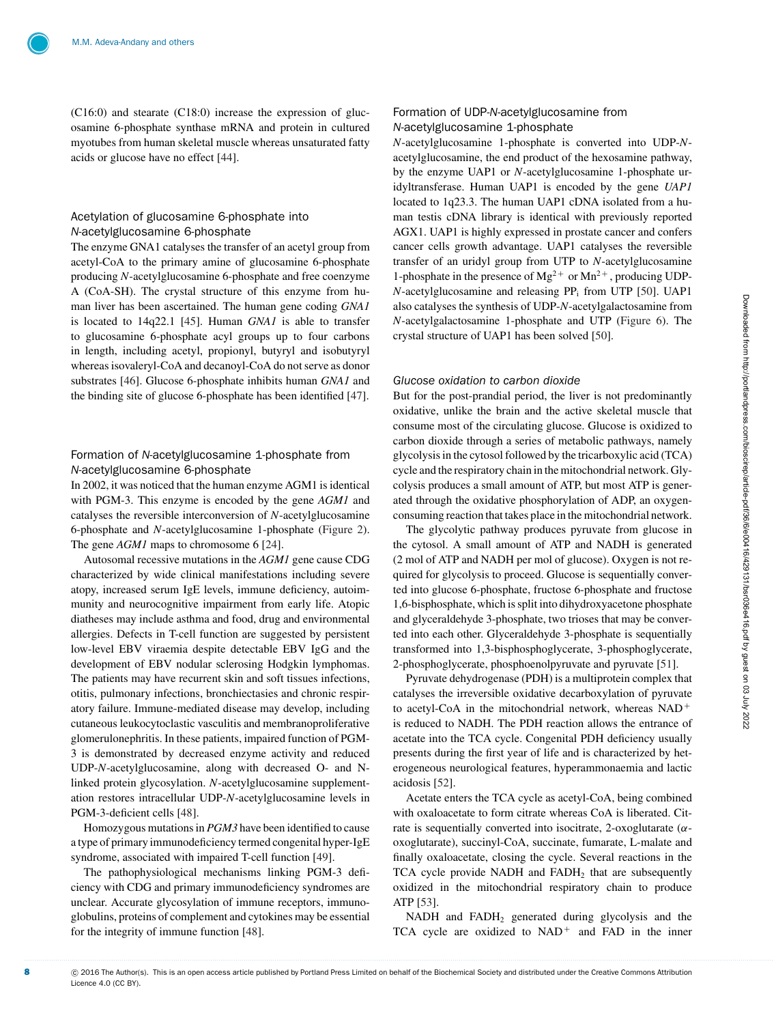(C16:0) and stearate (C18:0) increase the expression of glucosamine 6-phosphate synthase mRNA and protein in cultured myotubes from human skeletal muscle whereas unsaturated fatty acids or glucose have no effect [\[44\]](#page-13-23).

#### Acetylation of glucosamine 6-phosphate into *N*-acetylglucosamine 6-phosphate

The enzyme GNA1 catalyses the transfer of an acetyl group from acetyl-CoA to the primary amine of glucosamine 6-phosphate producing *N*-acetylglucosamine 6-phosphate and free coenzyme A (CoA-SH). The crystal structure of this enzyme from human liver has been ascertained. The human gene coding *GNA1* is located to 14q22.1 [\[45\]](#page-13-24). Human *GNA1* is able to transfer to glucosamine 6-phosphate acyl groups up to four carbons in length, including acetyl, propionyl, butyryl and isobutyryl whereas isovaleryl-CoA and decanoyl-CoA do not serve as donor substrates [\[46\]](#page-13-25). Glucose 6-phosphate inhibits human *GNA1* and the binding site of glucose 6-phosphate has been identified [\[47\]](#page-13-26).

## Formation of *N*-acetylglucosamine 1-phosphate from *N*-acetylglucosamine 6-phosphate

In 2002, it was noticed that the human enzyme AGM1 is identical with PGM-3. This enzyme is encoded by the gene *AGM1* and catalyses the reversible interconversion of *N*-acetylglucosamine 6-phosphate and *N*-acetylglucosamine 1-phosphate [\(Figure 2\)](#page-3-1). The gene *AGM1* maps to chromosome 6 [\[24\]](#page-13-3).

Autosomal recessive mutations in the *AGM1* gene cause CDG characterized by wide clinical manifestations including severe atopy, increased serum IgE levels, immune deficiency, autoimmunity and neurocognitive impairment from early life. Atopic diatheses may include asthma and food, drug and environmental allergies. Defects in T-cell function are suggested by persistent low-level EBV viraemia despite detectable EBV IgG and the development of EBV nodular sclerosing Hodgkin lymphomas. The patients may have recurrent skin and soft tissues infections, otitis, pulmonary infections, bronchiectasies and chronic respiratory failure. Immune-mediated disease may develop, including cutaneous leukocytoclastic vasculitis and membranoproliferative glomerulonephritis. In these patients, impaired function of PGM-3 is demonstrated by decreased enzyme activity and reduced UDP-*N*-acetylglucosamine, along with decreased O- and Nlinked protein glycosylation. *N*-acetylglucosamine supplementation restores intracellular UDP-*N*-acetylglucosamine levels in PGM-3-deficient cells [\[48\]](#page-13-27).

Homozygous mutations in *PGM3* have been identified to cause a type of primary immunodeficiency termed congenital hyper-IgE syndrome, associated with impaired T-cell function [\[49\]](#page-13-28).

The pathophysiological mechanisms linking PGM-3 deficiency with CDG and primary immunodeficiency syndromes are unclear. Accurate glycosylation of immune receptors, immunoglobulins, proteins of complement and cytokines may be essential for the integrity of immune function [\[48\]](#page-13-27).

#### Formation of UDP-*N*-acetylglucosamine from *N*-acetylglucosamine 1-phosphate

*N*-acetylglucosamine 1-phosphate is converted into UDP-*N*acetylglucosamine, the end product of the hexosamine pathway, by the enzyme UAP1 or *N*-acetylglucosamine 1-phosphate uridyltransferase. Human UAP1 is encoded by the gene *UAP1* located to 1q23.3. The human UAP1 cDNA isolated from a human testis cDNA library is identical with previously reported AGX1. UAP1 is highly expressed in prostate cancer and confers cancer cells growth advantage. UAP1 catalyses the reversible transfer of an uridyl group from UTP to *N*-acetylglucosamine 1-phosphate in the presence of  $Mg^{2+}$  or  $Mn^{2+}$ , producing UDP-*N*-acetylglucosamine and releasing PP<sub>i</sub> from UTP [\[50\]](#page-13-29). UAP1 also catalyses the synthesis of UDP-*N*-acetylgalactosamine from *N*-acetylgalactosamine 1-phosphate and UTP [\(Figure 6\)](#page-8-0). The crystal structure of UAP1 has been solved [\[50\]](#page-13-29).

#### *Glucose oxidation to carbon dioxide*

But for the post-prandial period, the liver is not predominantly oxidative, unlike the brain and the active skeletal muscle that consume most of the circulating glucose. Glucose is oxidized to carbon dioxide through a series of metabolic pathways, namely glycolysis in the cytosol followed by the tricarboxylic acid (TCA) cycle and the respiratory chain in the mitochondrial network. Glycolysis produces a small amount of ATP, but most ATP is generated through the oxidative phosphorylation of ADP, an oxygenconsuming reaction that takes place in the mitochondrial network.

The glycolytic pathway produces pyruvate from glucose in the cytosol. A small amount of ATP and NADH is generated (2 mol of ATP and NADH per mol of glucose). Oxygen is not required for glycolysis to proceed. Glucose is sequentially converted into glucose 6-phosphate, fructose 6-phosphate and fructose 1,6-bisphosphate, which is split into dihydroxyacetone phosphate and glyceraldehyde 3-phosphate, two trioses that may be converted into each other. Glyceraldehyde 3-phosphate is sequentially transformed into 1,3-bisphosphoglycerate, 3-phosphoglycerate, 2-phosphoglycerate, phosphoenolpyruvate and pyruvate [\[51\]](#page-14-0).

Pyruvate dehydrogenase (PDH) is a multiprotein complex that catalyses the irreversible oxidative decarboxylation of pyruvate to acetyl-CoA in the mitochondrial network, whereas NAD<sup>+</sup> is reduced to NADH. The PDH reaction allows the entrance of acetate into the TCA cycle. Congenital PDH deficiency usually presents during the first year of life and is characterized by heterogeneous neurological features, hyperammonaemia and lactic acidosis [\[52\]](#page-14-1).

Acetate enters the TCA cycle as acetyl-CoA, being combined with oxaloacetate to form citrate whereas CoA is liberated. Citrate is sequentially converted into isocitrate, 2-oxoglutarate  $(\alpha$ oxoglutarate), succinyl-CoA, succinate, fumarate, L-malate and finally oxaloacetate, closing the cycle. Several reactions in the TCA cycle provide NADH and FADH<sub>2</sub> that are subsequently oxidized in the mitochondrial respiratory chain to produce ATP [\[53\]](#page-14-2).

NADH and  $FADH<sub>2</sub>$  generated during glycolysis and the TCA cycle are oxidized to  $NAD<sup>+</sup>$  and FAD in the inner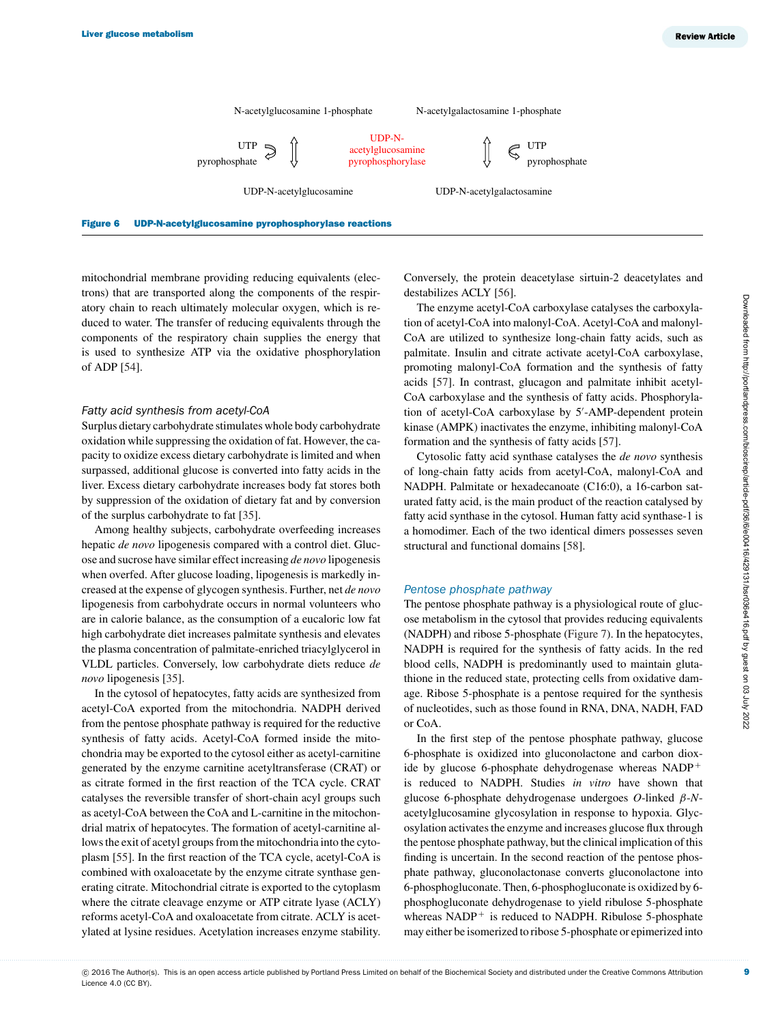<span id="page-8-0"></span>

mitochondrial membrane providing reducing equivalents (electrons) that are transported along the components of the respiratory chain to reach ultimately molecular oxygen, which is reduced to water. The transfer of reducing equivalents through the components of the respiratory chain supplies the energy that is used to synthesize ATP via the oxidative phosphorylation of ADP [\[54\]](#page-14-3).

#### *Fatty acid synthesis from acetyl-CoA*

Surplus dietary carbohydrate stimulates whole body carbohydrate oxidation while suppressing the oxidation of fat. However, the capacity to oxidize excess dietary carbohydrate is limited and when surpassed, additional glucose is converted into fatty acids in the liver. Excess dietary carbohydrate increases body fat stores both by suppression of the oxidation of dietary fat and by conversion of the surplus carbohydrate to fat [\[35\]](#page-13-14).

Among healthy subjects, carbohydrate overfeeding increases hepatic *de novo* lipogenesis compared with a control diet. Glucose and sucrose have similar effect increasing *de novo* lipogenesis when overfed. After glucose loading, lipogenesis is markedly increased at the expense of glycogen synthesis. Further, net *de novo* lipogenesis from carbohydrate occurs in normal volunteers who are in calorie balance, as the consumption of a eucaloric low fat high carbohydrate diet increases palmitate synthesis and elevates the plasma concentration of palmitate-enriched triacylglycerol in VLDL particles. Conversely, low carbohydrate diets reduce *de novo* lipogenesis [\[35\]](#page-13-14).

In the cytosol of hepatocytes, fatty acids are synthesized from acetyl-CoA exported from the mitochondria. NADPH derived from the pentose phosphate pathway is required for the reductive synthesis of fatty acids. Acetyl-CoA formed inside the mitochondria may be exported to the cytosol either as acetyl-carnitine generated by the enzyme carnitine acetyltransferase (CRAT) or as citrate formed in the first reaction of the TCA cycle. CRAT catalyses the reversible transfer of short-chain acyl groups such as acetyl-CoA between the CoA and L-carnitine in the mitochondrial matrix of hepatocytes. The formation of acetyl-carnitine allows the exit of acetyl groups from the mitochondria into the cytoplasm [\[55\]](#page-14-4). In the first reaction of the TCA cycle, acetyl-CoA is combined with oxaloacetate by the enzyme citrate synthase generating citrate. Mitochondrial citrate is exported to the cytoplasm where the citrate cleavage enzyme or ATP citrate lyase (ACLY) reforms acetyl-CoA and oxaloacetate from citrate. ACLY is acetylated at lysine residues. Acetylation increases enzyme stability. Conversely, the protein deacetylase sirtuin-2 deacetylates and destabilizes ACLY [\[56\]](#page-14-5).

The enzyme acetyl-CoA carboxylase catalyses the carboxylation of acetyl-CoA into malonyl-CoA. Acetyl-CoA and malonyl-CoA are utilized to synthesize long-chain fatty acids, such as palmitate. Insulin and citrate activate acetyl-CoA carboxylase, promoting malonyl-CoA formation and the synthesis of fatty acids [\[57\]](#page-14-6). In contrast, glucagon and palmitate inhibit acetyl-CoA carboxylase and the synthesis of fatty acids. Phosphorylation of acetyl-CoA carboxylase by 5'-AMP-dependent protein kinase (AMPK) inactivates the enzyme, inhibiting malonyl-CoA formation and the synthesis of fatty acids [\[57\]](#page-14-6).

Cytosolic fatty acid synthase catalyses the *de novo* synthesis of long-chain fatty acids from acetyl-CoA, malonyl-CoA and NADPH. Palmitate or hexadecanoate (C16:0), a 16-carbon saturated fatty acid, is the main product of the reaction catalysed by fatty acid synthase in the cytosol. Human fatty acid synthase-1 is a homodimer. Each of the two identical dimers possesses seven structural and functional domains [\[58\]](#page-14-7).

#### *Pentose phosphate pathway*

The pentose phosphate pathway is a physiological route of glucose metabolism in the cytosol that provides reducing equivalents (NADPH) and ribose 5-phosphate [\(Figure 7\)](#page-9-0). In the hepatocytes, NADPH is required for the synthesis of fatty acids. In the red blood cells, NADPH is predominantly used to maintain glutathione in the reduced state, protecting cells from oxidative damage. Ribose 5-phosphate is a pentose required for the synthesis of nucleotides, such as those found in RNA, DNA, NADH, FAD or CoA.

In the first step of the pentose phosphate pathway, glucose 6-phosphate is oxidized into gluconolactone and carbon dioxide by glucose 6-phosphate dehydrogenase whereas NADP<sup>+</sup> is reduced to NADPH. Studies *in vitro* have shown that glucose 6-phosphate dehydrogenase undergoes *O*-linked β-*N*acetylglucosamine glycosylation in response to hypoxia. Glycosylation activates the enzyme and increases glucose flux through the pentose phosphate pathway, but the clinical implication of this finding is uncertain. In the second reaction of the pentose phosphate pathway, gluconolactonase converts gluconolactone into 6-phosphogluconate. Then, 6-phosphogluconate is oxidized by 6 phosphogluconate dehydrogenase to yield ribulose 5-phosphate whereas  $NADP<sup>+</sup>$  is reduced to NADPH. Ribulose 5-phosphate may either be isomerized to ribose 5-phosphate or epimerized into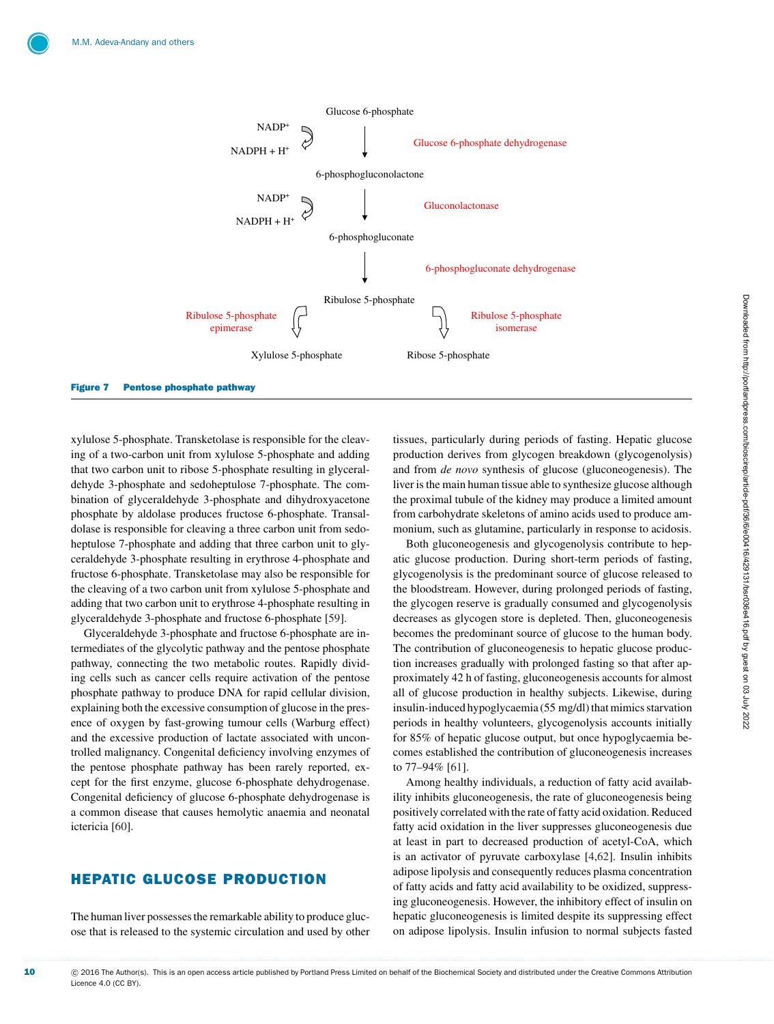<span id="page-9-0"></span>

xylulose 5-phosphate. Transketolase is responsible for the cleaving of a two-carbon unit from xylulose 5-phosphate and adding that two carbon unit to ribose 5-phosphate resulting in glyceraldehyde 3-phosphate and sedoheptulose 7-phosphate. The combination of glyceraldehyde 3-phosphate and dihydroxyacetone phosphate by aldolase produces fructose 6-phosphate. Transaldolase is responsible for cleaving a three carbon unit from sedoheptulose 7-phosphate and adding that three carbon unit to glyceraldehyde 3-phosphate resulting in erythrose 4-phosphate and fructose 6-phosphate. Transketolase may also be responsible for the cleaving of a two carbon unit from xylulose 5-phosphate and adding that two carbon unit to erythrose 4-phosphate resulting in glyceraldehyde 3-phosphate and fructose 6-phosphate [\[59\]](#page-14-8).

Glyceraldehyde 3-phosphate and fructose 6-phosphate are intermediates of the glycolytic pathway and the pentose phosphate pathway, connecting the two metabolic routes. Rapidly dividing cells such as cancer cells require activation of the pentose phosphate pathway to produce DNA for rapid cellular division, explaining both the excessive consumption of glucose in the presence of oxygen by fast-growing tumour cells (Warburg effect) and the excessive production of lactate associated with uncontrolled malignancy. Congenital deficiency involving enzymes of the pentose phosphate pathway has been rarely reported, except for the first enzyme, glucose 6-phosphate dehydrogenase. Congenital deficiency of glucose 6-phosphate dehydrogenase is a common disease that causes hemolytic anaemia and neonatal ictericia [\[60\]](#page-14-9).

# HEPATIC GLUCOSE PRODUCTION

The human liver possesses the remarkable ability to produce glucose that is released to the systemic circulation and used by other tissues, particularly during periods of fasting. Hepatic glucose production derives from glycogen breakdown (glycogenolysis) and from *de novo* synthesis of glucose (gluconeogenesis). The liver is the main human tissue able to synthesize glucose although the proximal tubule of the kidney may produce a limited amount from carbohydrate skeletons of amino acids used to produce ammonium, such as glutamine, particularly in response to acidosis.

Both gluconeogenesis and glycogenolysis contribute to hepatic glucose production. During short-term periods of fasting, glycogenolysis is the predominant source of glucose released to the bloodstream. However, during prolonged periods of fasting, the glycogen reserve is gradually consumed and glycogenolysis decreases as glycogen store is depleted. Then, gluconeogenesis becomes the predominant source of glucose to the human body. The contribution of gluconeogenesis to hepatic glucose production increases gradually with prolonged fasting so that after approximately 42 h of fasting, gluconeogenesis accounts for almost all of glucose production in healthy subjects. Likewise, during insulin-induced hypoglycaemia (55 mg/dl) that mimics starvation periods in healthy volunteers, glycogenolysis accounts initially for 85% of hepatic glucose output, but once hypoglycaemia becomes established the contribution of gluconeogenesis increases to 77–94% [\[61\]](#page-14-10).

Among healthy individuals, a reduction of fatty acid availability inhibits gluconeogenesis, the rate of gluconeogenesis being positively correlated with the rate of fatty acid oxidation. Reduced fatty acid oxidation in the liver suppresses gluconeogenesis due at least in part to decreased production of acetyl-CoA, which is an activator of pyruvate carboxylase [\[4,](#page-12-3)[62\]](#page-14-11). Insulin inhibits adipose lipolysis and consequently reduces plasma concentration of fatty acids and fatty acid availability to be oxidized, suppressing gluconeogenesis. However, the inhibitory effect of insulin on hepatic gluconeogenesis is limited despite its suppressing effect on adipose lipolysis. Insulin infusion to normal subjects fasted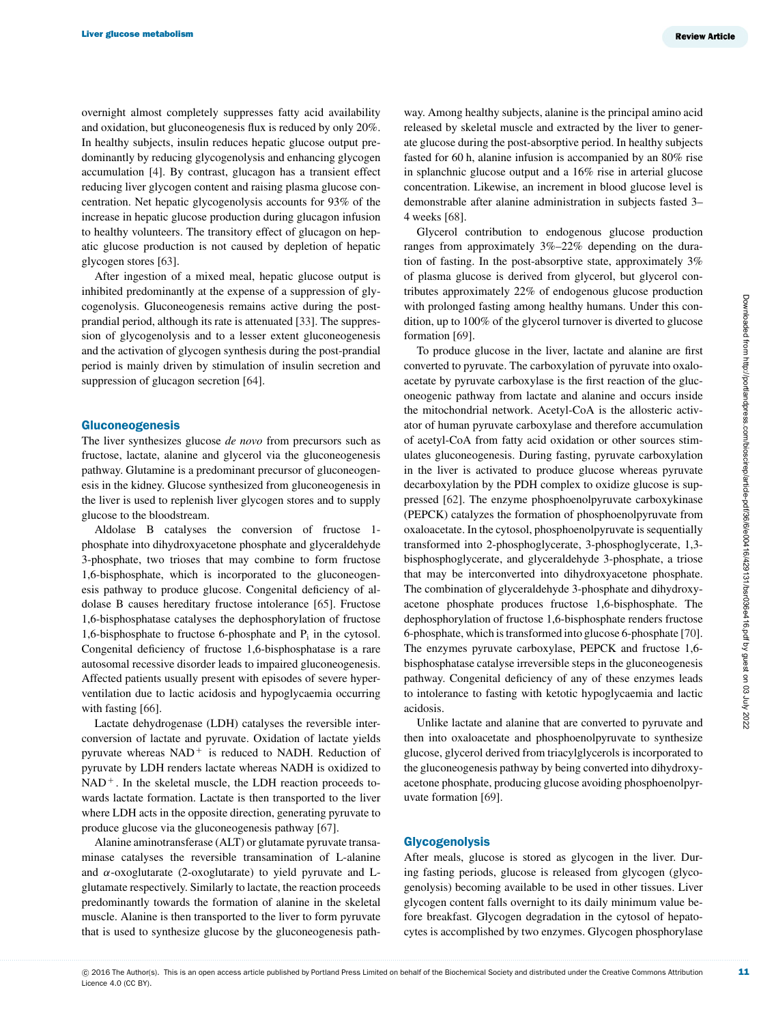overnight almost completely suppresses fatty acid availability and oxidation, but gluconeogenesis flux is reduced by only 20%. In healthy subjects, insulin reduces hepatic glucose output predominantly by reducing glycogenolysis and enhancing glycogen accumulation [\[4\]](#page-12-3). By contrast, glucagon has a transient effect reducing liver glycogen content and raising plasma glucose concentration. Net hepatic glycogenolysis accounts for 93% of the increase in hepatic glucose production during glucagon infusion to healthy volunteers. The transitory effect of glucagon on hepatic glucose production is not caused by depletion of hepatic glycogen stores [\[63\]](#page-14-12).

After ingestion of a mixed meal, hepatic glucose output is inhibited predominantly at the expense of a suppression of glycogenolysis. Gluconeogenesis remains active during the postprandial period, although its rate is attenuated [\[33\]](#page-13-12). The suppression of glycogenolysis and to a lesser extent gluconeogenesis and the activation of glycogen synthesis during the post-prandial period is mainly driven by stimulation of insulin secretion and suppression of glucagon secretion [\[64\]](#page-14-13).

#### Gluconeogenesis

The liver synthesizes glucose *de novo* from precursors such as fructose, lactate, alanine and glycerol via the gluconeogenesis pathway. Glutamine is a predominant precursor of gluconeogenesis in the kidney. Glucose synthesized from gluconeogenesis in the liver is used to replenish liver glycogen stores and to supply glucose to the bloodstream.

Aldolase B catalyses the conversion of fructose 1 phosphate into dihydroxyacetone phosphate and glyceraldehyde 3-phosphate, two trioses that may combine to form fructose 1,6-bisphosphate, which is incorporated to the gluconeogenesis pathway to produce glucose. Congenital deficiency of aldolase B causes hereditary fructose intolerance [\[65\]](#page-14-14). Fructose 1,6-bisphosphatase catalyses the dephosphorylation of fructose 1,6-bisphosphate to fructose 6-phosphate and  $P_i$  in the cytosol. Congenital deficiency of fructose 1,6-bisphosphatase is a rare autosomal recessive disorder leads to impaired gluconeogenesis. Affected patients usually present with episodes of severe hyperventilation due to lactic acidosis and hypoglycaemia occurring with fasting [\[66\]](#page-14-15).

Lactate dehydrogenase (LDH) catalyses the reversible interconversion of lactate and pyruvate. Oxidation of lactate yields pyruvate whereas  $NAD<sup>+</sup>$  is reduced to NADH. Reduction of pyruvate by LDH renders lactate whereas NADH is oxidized to  $NAD<sup>+</sup>$ . In the skeletal muscle, the LDH reaction proceeds towards lactate formation. Lactate is then transported to the liver where LDH acts in the opposite direction, generating pyruvate to produce glucose via the gluconeogenesis pathway [\[67\]](#page-14-16).

Alanine aminotransferase (ALT) or glutamate pyruvate transaminase catalyses the reversible transamination of L-alanine and  $\alpha$ -oxoglutarate (2-oxoglutarate) to yield pyruvate and Lglutamate respectively. Similarly to lactate, the reaction proceeds predominantly towards the formation of alanine in the skeletal muscle. Alanine is then transported to the liver to form pyruvate that is used to synthesize glucose by the gluconeogenesis path-

way. Among healthy subjects, alanine is the principal amino acid released by skeletal muscle and extracted by the liver to generate glucose during the post-absorptive period. In healthy subjects fasted for 60 h, alanine infusion is accompanied by an 80% rise in splanchnic glucose output and a 16% rise in arterial glucose concentration. Likewise, an increment in blood glucose level is demonstrable after alanine administration in subjects fasted 3– 4 weeks [\[68\]](#page-14-17).

Glycerol contribution to endogenous glucose production ranges from approximately 3%–22% depending on the duration of fasting. In the post-absorptive state, approximately 3% of plasma glucose is derived from glycerol, but glycerol contributes approximately 22% of endogenous glucose production with prolonged fasting among healthy humans. Under this condition, up to 100% of the glycerol turnover is diverted to glucose formation [\[69\]](#page-14-18).

To produce glucose in the liver, lactate and alanine are first converted to pyruvate. The carboxylation of pyruvate into oxaloacetate by pyruvate carboxylase is the first reaction of the gluconeogenic pathway from lactate and alanine and occurs inside the mitochondrial network. Acetyl-CoA is the allosteric activator of human pyruvate carboxylase and therefore accumulation of acetyl-CoA from fatty acid oxidation or other sources stimulates gluconeogenesis. During fasting, pyruvate carboxylation in the liver is activated to produce glucose whereas pyruvate decarboxylation by the PDH complex to oxidize glucose is suppressed [\[62\]](#page-14-11). The enzyme phosphoenolpyruvate carboxykinase (PEPCK) catalyzes the formation of phosphoenolpyruvate from oxaloacetate. In the cytosol, phosphoenolpyruvate is sequentially transformed into 2-phosphoglycerate, 3-phosphoglycerate, 1,3 bisphosphoglycerate, and glyceraldehyde 3-phosphate, a triose that may be interconverted into dihydroxyacetone phosphate. The combination of glyceraldehyde 3-phosphate and dihydroxyacetone phosphate produces fructose 1,6-bisphosphate. The dephosphorylation of fructose 1,6-bisphosphate renders fructose 6-phosphate, which is transformed into glucose 6-phosphate [\[70\]](#page-14-19). The enzymes pyruvate carboxylase, PEPCK and fructose 1,6 bisphosphatase catalyse irreversible steps in the gluconeogenesis pathway. Congenital deficiency of any of these enzymes leads to intolerance to fasting with ketotic hypoglycaemia and lactic acidosis.

Unlike lactate and alanine that are converted to pyruvate and then into oxaloacetate and phosphoenolpyruvate to synthesize glucose, glycerol derived from triacylglycerols is incorporated to the gluconeogenesis pathway by being converted into dihydroxyacetone phosphate, producing glucose avoiding phosphoenolpyruvate formation [\[69\]](#page-14-18).

#### Glycogenolysis

After meals, glucose is stored as glycogen in the liver. During fasting periods, glucose is released from glycogen (glycogenolysis) becoming available to be used in other tissues. Liver glycogen content falls overnight to its daily minimum value before breakfast. Glycogen degradation in the cytosol of hepatocytes is accomplished by two enzymes. Glycogen phosphorylase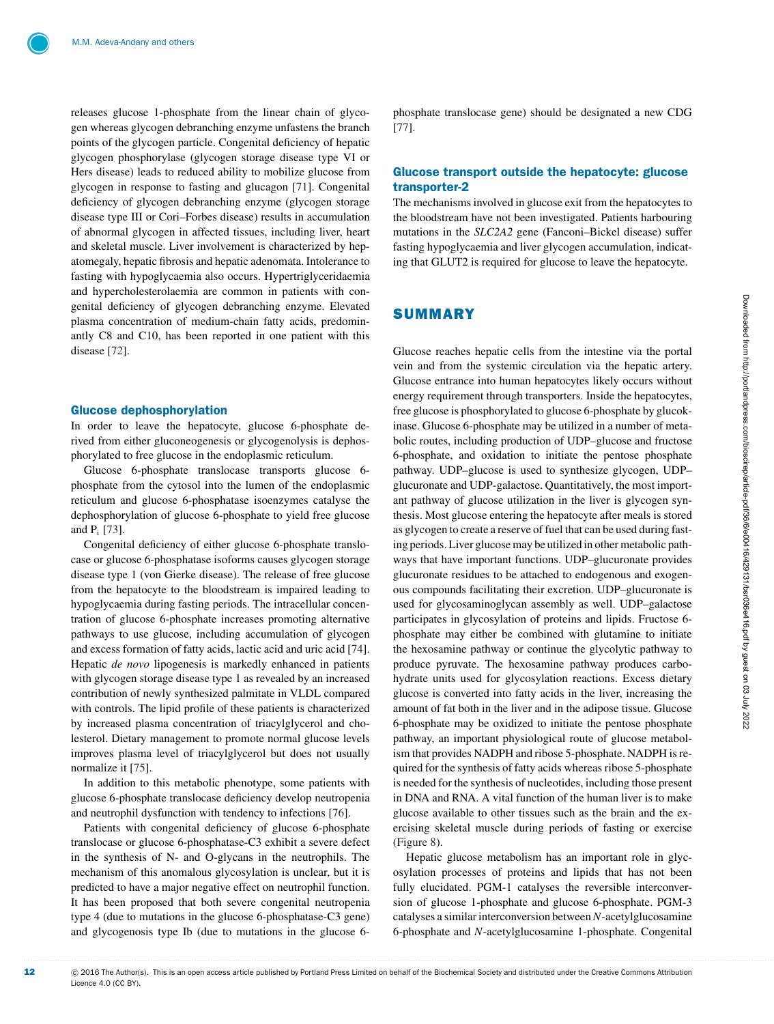releases glucose 1-phosphate from the linear chain of glycogen whereas glycogen debranching enzyme unfastens the branch points of the glycogen particle. Congenital deficiency of hepatic glycogen phosphorylase (glycogen storage disease type VI or Hers disease) leads to reduced ability to mobilize glucose from glycogen in response to fasting and glucagon [\[71\]](#page-14-20). Congenital deficiency of glycogen debranching enzyme (glycogen storage disease type III or Cori–Forbes disease) results in accumulation of abnormal glycogen in affected tissues, including liver, heart and skeletal muscle. Liver involvement is characterized by hepatomegaly, hepatic fibrosis and hepatic adenomata. Intolerance to fasting with hypoglycaemia also occurs. Hypertriglyceridaemia and hypercholesterolaemia are common in patients with congenital deficiency of glycogen debranching enzyme. Elevated plasma concentration of medium-chain fatty acids, predominantly C8 and C10, has been reported in one patient with this disease [\[72\]](#page-14-21).

#### Glucose dephosphorylation

In order to leave the hepatocyte, glucose 6-phosphate derived from either gluconeogenesis or glycogenolysis is dephosphorylated to free glucose in the endoplasmic reticulum.

Glucose 6-phosphate translocase transports glucose 6 phosphate from the cytosol into the lumen of the endoplasmic reticulum and glucose 6-phosphatase isoenzymes catalyse the dephosphorylation of glucose 6-phosphate to yield free glucose and Pi [\[73\]](#page-14-22).

Congenital deficiency of either glucose 6-phosphate translocase or glucose 6-phosphatase isoforms causes glycogen storage disease type 1 (von Gierke disease). The release of free glucose from the hepatocyte to the bloodstream is impaired leading to hypoglycaemia during fasting periods. The intracellular concentration of glucose 6-phosphate increases promoting alternative pathways to use glucose, including accumulation of glycogen and excess formation of fatty acids, lactic acid and uric acid [\[74\]](#page-14-23). Hepatic *de novo* lipogenesis is markedly enhanced in patients with glycogen storage disease type 1 as revealed by an increased contribution of newly synthesized palmitate in VLDL compared with controls. The lipid profile of these patients is characterized by increased plasma concentration of triacylglycerol and cholesterol. Dietary management to promote normal glucose levels improves plasma level of triacylglycerol but does not usually normalize it [\[75\]](#page-14-24).

In addition to this metabolic phenotype, some patients with glucose 6-phosphate translocase deficiency develop neutropenia and neutrophil dysfunction with tendency to infections [\[76\]](#page-14-25).

Patients with congenital deficiency of glucose 6-phosphate translocase or glucose 6-phosphatase-C3 exhibit a severe defect in the synthesis of N- and O-glycans in the neutrophils. The mechanism of this anomalous glycosylation is unclear, but it is predicted to have a major negative effect on neutrophil function. It has been proposed that both severe congenital neutropenia type 4 (due to mutations in the glucose 6-phosphatase-C3 gene) and glycogenosis type Ib (due to mutations in the glucose 6phosphate translocase gene) should be designated a new CDG [\[77\]](#page-14-26).

#### Glucose transport outside the hepatocyte: glucose transporter-2

The mechanisms involved in glucose exit from the hepatocytes to the bloodstream have not been investigated. Patients harbouring mutations in the *SLC2A2* gene (Fanconi–Bickel disease) suffer fasting hypoglycaemia and liver glycogen accumulation, indicating that GLUT2 is required for glucose to leave the hepatocyte.

# **SUMMARY**

Glucose reaches hepatic cells from the intestine via the portal vein and from the systemic circulation via the hepatic artery. Glucose entrance into human hepatocytes likely occurs without energy requirement through transporters. Inside the hepatocytes, free glucose is phosphorylated to glucose 6-phosphate by glucokinase. Glucose 6-phosphate may be utilized in a number of metabolic routes, including production of UDP–glucose and fructose 6-phosphate, and oxidation to initiate the pentose phosphate pathway. UDP–glucose is used to synthesize glycogen, UDP– glucuronate and UDP-galactose. Quantitatively, the most important pathway of glucose utilization in the liver is glycogen synthesis. Most glucose entering the hepatocyte after meals is stored as glycogen to create a reserve of fuel that can be used during fasting periods. Liver glucose may be utilized in other metabolic pathways that have important functions. UDP–glucuronate provides glucuronate residues to be attached to endogenous and exogenous compounds facilitating their excretion. UDP–glucuronate is used for glycosaminoglycan assembly as well. UDP–galactose participates in glycosylation of proteins and lipids. Fructose 6 phosphate may either be combined with glutamine to initiate the hexosamine pathway or continue the glycolytic pathway to produce pyruvate. The hexosamine pathway produces carbohydrate units used for glycosylation reactions. Excess dietary glucose is converted into fatty acids in the liver, increasing the amount of fat both in the liver and in the adipose tissue. Glucose 6-phosphate may be oxidized to initiate the pentose phosphate pathway, an important physiological route of glucose metabolism that provides NADPH and ribose 5-phosphate. NADPH is required for the synthesis of fatty acids whereas ribose 5-phosphate is needed for the synthesis of nucleotides, including those present in DNA and RNA. A vital function of the human liver is to make glucose available to other tissues such as the brain and the exercising skeletal muscle during periods of fasting or exercise [\(Figure 8\)](#page-12-19).

Hepatic glucose metabolism has an important role in glycosylation processes of proteins and lipids that has not been fully elucidated. PGM-1 catalyses the reversible interconversion of glucose 1-phosphate and glucose 6-phosphate. PGM-3 catalyses a similar interconversion between *N*-acetylglucosamine 6-phosphate and *N*-acetylglucosamine 1-phosphate. Congenital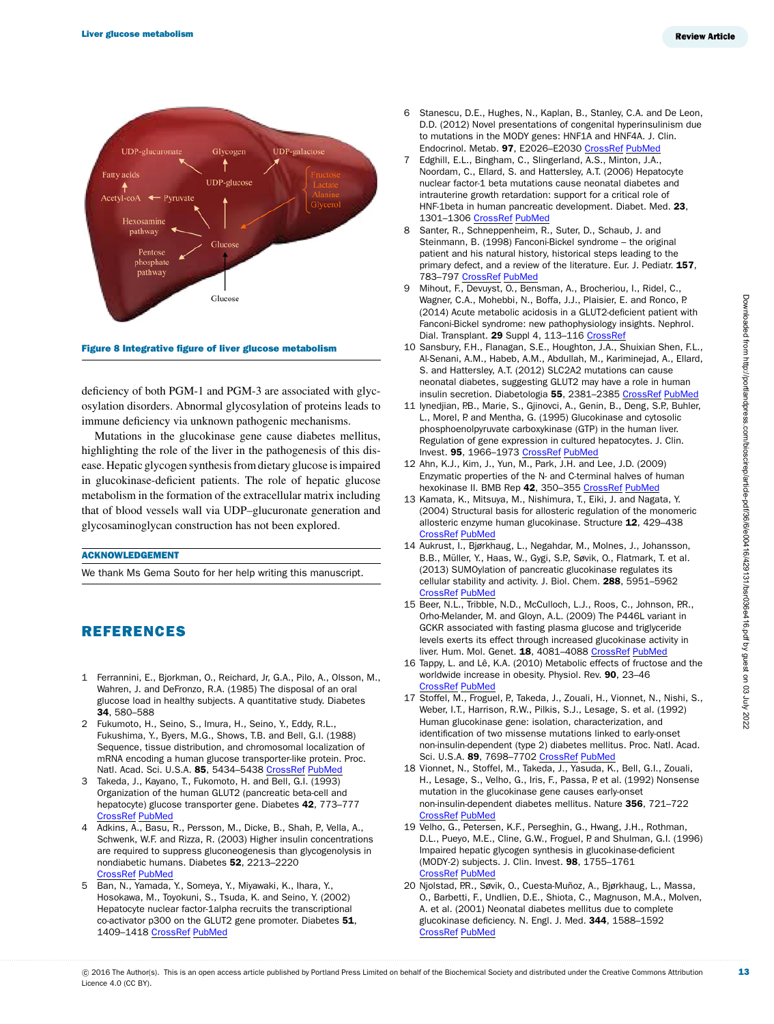<span id="page-12-19"></span>

Figure 8 Integrative figure of liver glucose metabolism

deficiency of both PGM-1 and PGM-3 are associated with glycosylation disorders. Abnormal glycosylation of proteins leads to immune deficiency via unknown pathogenic mechanisms.

Mutations in the glucokinase gene cause diabetes mellitus, highlighting the role of the liver in the pathogenesis of this disease. Hepatic glycogen synthesis from dietary glucose is impaired in glucokinase-deficient patients. The role of hepatic glucose metabolism in the formation of the extracellular matrix including that of blood vessels wall via UDP–glucuronate generation and glycosaminoglycan construction has not been explored.

#### ACKNOWLEDGEMENT

We thank Ms Gema Souto for her help writing this manuscript.

# REFERENCES

- <span id="page-12-0"></span>1 Ferrannini, E., Bjorkman, O., Reichard, Jr, G.A., Pilo, A., Olsson, M., Wahren, J. and DeFronzo, R.A. (1985) The disposal of an oral glucose load in healthy subjects. A quantitative study. Diabetes 34, 580–588
- <span id="page-12-1"></span>2 Fukumoto, H., Seino, S., Imura, H., Seino, Y., Eddy, R.L., Fukushima, Y., Byers, M.G., Shows, T.B. and Bell, G.I. (1988) Sequence, tissue distribution, and chromosomal localization of mRNA encoding a human glucose transporter-like protein. Proc. Natl. Acad. Sci. U.S.A. 85, 5434-5438 [CrossRef](http://dx.doi.org/10.1073/pnas.85.15.5434) [PubMed](http://www.ncbi.nlm.nih.gov/pubmed/3399500)
- <span id="page-12-2"></span>3 Takeda, J., Kayano, T., Fukomoto, H. and Bell, G.I. (1993) Organization of the human GLUT2 (pancreatic beta-cell and hepatocyte) glucose transporter gene. Diabetes 42, 773–777 [CrossRef](http://dx.doi.org/10.2337/diab.42.5.773) [PubMed](http://www.ncbi.nlm.nih.gov/pubmed/8482435)
- <span id="page-12-3"></span>4 Adkins, A., Basu, R., Persson, M., Dicke, B., Shah, P., Vella, A., Schwenk, W.F. and Rizza, R. (2003) Higher insulin concentrations are required to suppress gluconeogenesis than glycogenolysis in nondiabetic humans. Diabetes 52, 2213–2220 [CrossRef](http://dx.doi.org/10.2337/diabetes.52.9.2213) [PubMed](http://www.ncbi.nlm.nih.gov/pubmed/12941759)
- <span id="page-12-4"></span>5 Ban, N., Yamada, Y., Someya, Y., Miyawaki, K., Ihara, Y., Hosokawa, M., Toyokuni, S., Tsuda, K. and Seino, Y. (2002) Hepatocyte nuclear factor-1alpha recruits the transcriptional co-activator p300 on the GLUT2 gene promoter. Diabetes 51, 1409–1418 [CrossRef](http://dx.doi.org/10.2337/diabetes.51.5.1409) [PubMed](http://www.ncbi.nlm.nih.gov/pubmed/11978637)
- 6 Stanescu, D.E., Hughes, N., Kaplan, B., Stanley, C.A. and De Leon, D.D. (2012) Novel presentations of congenital hyperinsulinism due to mutations in the MODY genes: HNF1A and HNF4A. J. Clin. Endocrinol. Metab. 97, E2026-E2030 [CrossRef](http://dx.doi.org/10.1210/jc.2012-1356) [PubMed](http://www.ncbi.nlm.nih.gov/pubmed/22802087)
- <span id="page-12-5"></span>7 Edghill, E.L., Bingham, C., Slingerland, A.S., Minton, J.A., Noordam, C., Ellard, S. and Hattersley, A.T. (2006) Hepatocyte nuclear factor-1 beta mutations cause neonatal diabetes and intrauterine growth retardation: support for a critical role of HNF-1beta in human pancreatic development. Diabet. Med. 23, 1301–1306 [CrossRef](http://dx.doi.org/10.1111/j.1464-5491.2006.01999.x) [PubMed](http://www.ncbi.nlm.nih.gov/pubmed/17116179)
- <span id="page-12-6"></span>8 Santer, R., Schneppenheim, R., Suter, D., Schaub, J. and Steinmann, B. (1998) Fanconi-Bickel syndrome – the original patient and his natural history, historical steps leading to the primary defect, and a review of the literature. Eur. J. Pediatr. 157, 783–797 [CrossRef](http://dx.doi.org/10.1007/s004310050937) [PubMed](http://www.ncbi.nlm.nih.gov/pubmed/9809815)
- <span id="page-12-7"></span>9 Mihout, F., Devuyst, O., Bensman, A., Brocheriou, I., Ridel, C., Wagner, C.A., Mohebbi, N., Boffa, J.J., Plaisier, E. and Ronco, P. (2014) Acute metabolic acidosis in a GLUT2-deficient patient with Fanconi-Bickel syndrome: new pathophysiology insights. Nephrol. Dial. Transplant. 29 Suppl 4, 113-116 [CrossRef](http://dx.doi.org/10.1093/ndt/gfu018)
- <span id="page-12-8"></span>10 Sansbury, F.H., Flanagan, S.E., Houghton, J.A., Shuixian Shen, F.L., Al-Senani, A.M., Habeb, A.M., Abdullah, M., Kariminejad, A., Ellard, S. and Hattersley, A.T. (2012) SLC2A2 mutations can cause neonatal diabetes, suggesting GLUT2 may have a role in human insulin secretion. Diabetologia 55, 2381-2385 [CrossRef](http://dx.doi.org/10.1007/s00125-012-2595-0) [PubMed](http://www.ncbi.nlm.nih.gov/pubmed/22660720)
- <span id="page-12-9"></span>11 Iynedjian, P.B., Marie, S., Gjinovci, A., Genin, B., Deng, S.P., Buhler, L., Morel, P. and Mentha, G. (1995) Glucokinase and cytosolic phosphoenolpyruvate carboxykinase (GTP) in the human liver. Regulation of gene expression in cultured hepatocytes. J. Clin. Invest. 95, 1966-1973 [CrossRef](http://dx.doi.org/10.1172/JCI117880) [PubMed](http://www.ncbi.nlm.nih.gov/pubmed/7738162)
- <span id="page-12-10"></span>12 Ahn, K.J., Kim, J., Yun, M., Park, J.H. and Lee, J.D. (2009) Enzymatic properties of the N- and C-terminal halves of human hexokinase II. BMB Rep 42, 350-355 [CrossRef](http://dx.doi.org/10.5483/BMBRep.2009.42.6.350) [PubMed](http://www.ncbi.nlm.nih.gov/pubmed/19558793)
- <span id="page-12-11"></span>13 Kamata, K., Mitsuya, M., Nishimura, T., Eiki, J. and Nagata, Y. (2004) Structural basis for allosteric regulation of the monomeric allosteric enzyme human glucokinase. Structure 12, 429–438 [CrossRef](http://dx.doi.org/10.1016/j.str.2004.02.005) [PubMed](http://www.ncbi.nlm.nih.gov/pubmed/15016359)
- <span id="page-12-12"></span>14 Aukrust, I., Bjørkhaug, L., Negahdar, M., Molnes, J., Johansson, B.B., Müller, Y., Haas, W., Gygi, S.P., Søvik, O., Flatmark, T. et al. (2013) SUMOylation of pancreatic glucokinase regulates its cellular stability and activity. J. Biol. Chem. 288, 5951–5962 [CrossRef](http://dx.doi.org/10.1074/jbc.M112.393769) [PubMed](http://www.ncbi.nlm.nih.gov/pubmed/23297408)
- <span id="page-12-13"></span>15 Beer, N.L., Tribble, N.D., McCulloch, L.J., Roos, C., Johnson, P.R., Orho-Melander, M. and Gloyn, A.L. (2009) The P446L variant in GCKR associated with fasting plasma glucose and triglyceride levels exerts its effect through increased glucokinase activity in liver. Hum. Mol. Genet. 18, 4081-4088 [CrossRef](http://dx.doi.org/10.1093/hmg/ddp357) [PubMed](http://www.ncbi.nlm.nih.gov/pubmed/19643913)
- <span id="page-12-14"></span>16 Tappy, L. and Lê, K.A. (2010) Metabolic effects of fructose and the worldwide increase in obesity. Physiol. Rev. 90, 23–46 [CrossRef](http://dx.doi.org/10.1152/physrev.00019.2009) [PubMed](http://www.ncbi.nlm.nih.gov/pubmed/20086073)
- <span id="page-12-15"></span>17 Stoffel, M., Froguel, P., Takeda, J., Zouali, H., Vionnet, N., Nishi, S., Weber, I.T., Harrison, R.W., Pilkis, S.J., Lesage, S. et al. (1992) Human glucokinase gene: isolation, characterization, and identification of two missense mutations linked to early-onset non-insulin-dependent (type 2) diabetes mellitus. Proc. Natl. Acad. Sci. U.S.A. 89, 7698-7702 [CrossRef](http://dx.doi.org/10.1073/pnas.89.16.7698) [PubMed](http://www.ncbi.nlm.nih.gov/pubmed/1502186)
- <span id="page-12-16"></span>18 Vionnet, N., Stoffel, M., Takeda, J., Yasuda, K., Bell, G.I., Zouali, H., Lesage, S., Velho, G., Iris, F., Passa, P. et al. (1992) Nonsense mutation in the glucokinase gene causes early-onset non-insulin-dependent diabetes mellitus. Nature 356, 721–722 [CrossRef](http://dx.doi.org/10.1038/356721a0) [PubMed](http://www.ncbi.nlm.nih.gov/pubmed/1570017)
- <span id="page-12-17"></span>19 Velho, G., Petersen, K.F., Perseghin, G., Hwang, J.H., Rothman, D.L., Pueyo, M.E., Cline, G.W., Froguel, P. and Shulman, G.I. (1996) Impaired hepatic glycogen synthesis in glucokinase-deficient (MODY-2) subjects. J. Clin. Invest. 98, 1755–1761 [CrossRef](http://dx.doi.org/10.1172/JCI118974) [PubMed](http://www.ncbi.nlm.nih.gov/pubmed/8878425)
- <span id="page-12-18"></span>20 Njolstad, P.R., Søvik, O., Cuesta-Muñoz, A., Bjørkhaug, L., Massa, O., Barbetti, F., Undlien, D.E., Shiota, C., Magnuson, M.A., Molven, A. et al. (2001) Neonatal diabetes mellitus due to complete glucokinase deficiency. N. Engl. J. Med. 344, 1588–1592 [CrossRef](http://dx.doi.org/10.1056/NEJM200105243442104) [PubMed](http://www.ncbi.nlm.nih.gov/pubmed/11372010)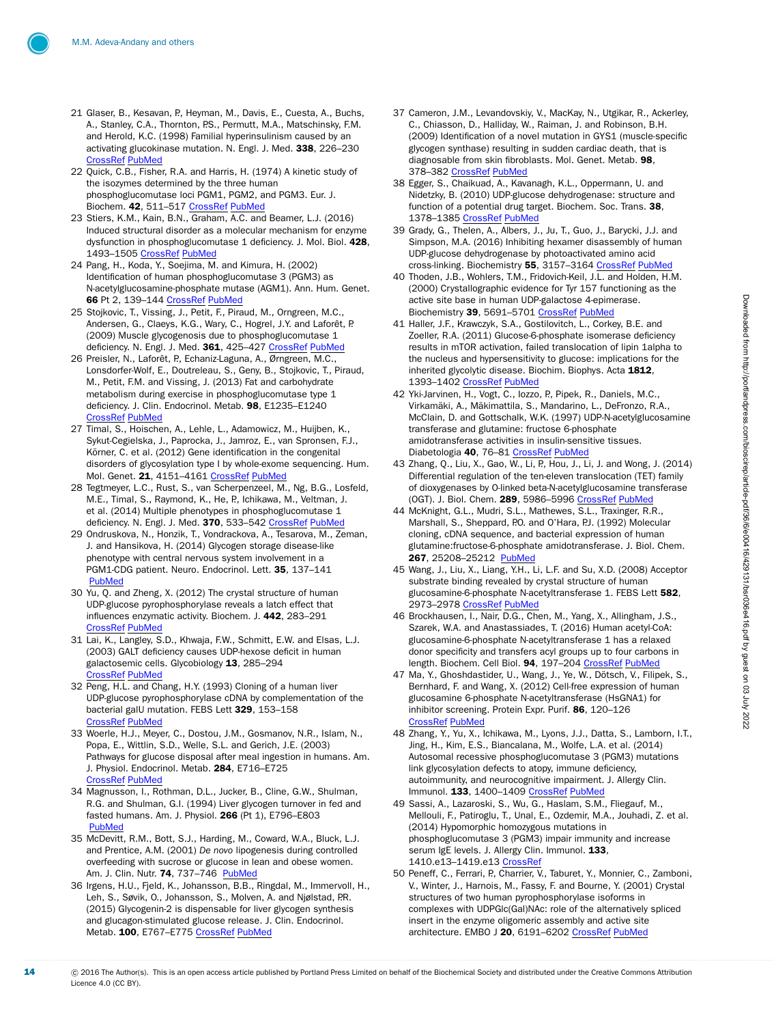- <span id="page-13-0"></span>21 Glaser, B., Kesavan, P., Heyman, M., Davis, E., Cuesta, A., Buchs, A., Stanley, C.A., Thornton, P.S., Permutt, M.A., Matschinsky, F.M. and Herold, K.C. (1998) Familial hyperinsulinism caused by an activating glucokinase mutation. N. Engl. J. Med. 338, 226–230 [CrossRef](http://dx.doi.org/10.1056/NEJM199801223380404) [PubMed](http://www.ncbi.nlm.nih.gov/pubmed/9435328)
- <span id="page-13-1"></span>22 Quick, C.B., Fisher, R.A. and Harris, H. (1974) A kinetic study of the isozymes determined by the three human phosphoglucomutase loci PGM1, PGM2, and PGM3. Eur. J. Biochem. 42, 511-517 [CrossRef](http://dx.doi.org/10.1111/j.1432-1033.1974.tb03366.x) [PubMed](http://www.ncbi.nlm.nih.gov/pubmed/4829444)
- <span id="page-13-2"></span>23 Stiers, K.M., Kain, B.N., Graham, A.C. and Beamer, L.J. (2016) Induced structural disorder as a molecular mechanism for enzyme dysfunction in phosphoglucomutase 1 deficiency. J. Mol. Biol. 428, 1493–1505 [CrossRef](http://dx.doi.org/10.1016/j.jmb.2016.02.032) [PubMed](http://www.ncbi.nlm.nih.gov/pubmed/26972339)
- <span id="page-13-3"></span>24 Pang, H., Koda, Y., Soejima, M. and Kimura, H. (2002) Identification of human phosphoglucomutase 3 (PGM3) as N-acetylglucosamine-phosphate mutase (AGM1). Ann. Hum. Genet. 66 Pt 2, 139–144 [CrossRef](http://dx.doi.org/10.1046/j.1469-1809.2002.00103.x) [PubMed](http://www.ncbi.nlm.nih.gov/pubmed/12174217)
- <span id="page-13-4"></span>25 Stojkovic, T., Vissing, J., Petit, F., Piraud, M., Orngreen, M.C., Andersen, G., Claeys, K.G., Wary, C., Hogrel, J.Y. and Laforêt, P. (2009) Muscle glycogenosis due to phosphoglucomutase 1 deficiency. N. Engl. J. Med. 361, 425-427 [CrossRef](http://dx.doi.org/10.1056/NEJMc0901158) [PubMed](http://www.ncbi.nlm.nih.gov/pubmed/19625727)
- <span id="page-13-5"></span>26 Preisler, N., Laforêt, P., Echaniz-Laguna, A., Ørngreen, M.C., Lonsdorfer-Wolf, E., Doutreleau, S., Geny, B., Stojkovic, T., Piraud, M., Petit, F.M. and Vissing, J. (2013) Fat and carbohydrate metabolism during exercise in phosphoglucomutase type 1 deficiency. J. Clin. Endocrinol. Metab. 98, E1235–E1240 [CrossRef](http://dx.doi.org/10.1210/jc.2013-1651) [PubMed](http://www.ncbi.nlm.nih.gov/pubmed/23780368)
- <span id="page-13-6"></span>27 Timal, S., Hoischen, A., Lehle, L., Adamowicz, M., Huijben, K., Sykut-Cegielska, J., Paprocka, J., Jamroz, E., van Spronsen, F.J., Körner, C. et al. (2012) Gene identification in the congenital disorders of glycosylation type I by whole-exome sequencing. Hum. Mol. Genet. 21, 4151-4161 [CrossRef](http://dx.doi.org/10.1093/hmg/dds123) [PubMed](http://www.ncbi.nlm.nih.gov/pubmed/22492991)
- <span id="page-13-7"></span>28 Tegtmeyer, L.C., Rust, S., van Scherpenzeel, M., Ng, B.G., Losfeld, M.E., Timal, S., Raymond, K., He, P., Ichikawa, M., Veltman, J. et al. (2014) Multiple phenotypes in phosphoglucomutase 1 deficiency. N. Engl. J. Med. 370, 533–542 [CrossRef](http://dx.doi.org/10.1056/NEJMoa1206605) [PubMed](http://www.ncbi.nlm.nih.gov/pubmed/24499211)
- <span id="page-13-8"></span>29 Ondruskova, N., Honzik, T., Vondrackova, A., Tesarova, M., Zeman, J. and Hansikova, H. (2014) Glycogen storage disease-like phenotype with central nervous system involvement in a PGM1-CDG patient. Neuro. Endocrinol. Lett. 35, 137–141 [PubMed](http://www.ncbi.nlm.nih.gov/pubmed/24878975)
- <span id="page-13-9"></span>30 Yu, Q. and Zheng, X. (2012) The crystal structure of human UDP-glucose pyrophosphorylase reveals a latch effect that influences enzymatic activity. Biochem. J. 442, 283–291 **[CrossRef](http://dx.doi.org/10.1042/BJ20111598) [PubMed](http://www.ncbi.nlm.nih.gov/pubmed/22132858)**
- <span id="page-13-10"></span>31 Lai, K., Langley, S.D., Khwaja, F.W., Schmitt, E.W. and Elsas, L.J. (2003) GALT deficiency causes UDP-hexose deficit in human galactosemic cells. Glycobiology 13, 285–294 [CrossRef](http://dx.doi.org/10.1093/glycob/cwg033) [PubMed](http://www.ncbi.nlm.nih.gov/pubmed/12626383)
- <span id="page-13-11"></span>32 Peng, H.L. and Chang, H.Y. (1993) Cloning of a human liver UDP-glucose pyrophosphorylase cDNA by complementation of the bacterial galU mutation. FEBS Lett 329, 153–158 [CrossRef](http://dx.doi.org/10.1016/0014-5793(93)80213-E) [PubMed](http://www.ncbi.nlm.nih.gov/pubmed/8354390)
- <span id="page-13-12"></span>33 Woerle, H.J., Meyer, C., Dostou, J.M., Gosmanov, N.R., Islam, N., Popa, E., Wittlin, S.D., Welle, S.L. and Gerich, J.E. (2003) Pathways for glucose disposal after meal ingestion in humans. Am. J. Physiol. Endocrinol. Metab. 284, E716–E725 [CrossRef](http://dx.doi.org/10.1152/ajpendo.00365.2002) [PubMed](http://www.ncbi.nlm.nih.gov/pubmed/12475753)
- <span id="page-13-13"></span>34 Magnusson, I., Rothman, D.L., Jucker, B., Cline, G.W., Shulman, R.G. and Shulman, G.I. (1994) Liver glycogen turnover in fed and fasted humans. Am. J. Physiol. 266 (Pt 1), E796–E803 [PubMed](http://www.ncbi.nlm.nih.gov/pubmed/8203517)
- <span id="page-13-14"></span>35 McDevitt, R.M., Bott, S.J., Harding, M., Coward, W.A., Bluck, L.J. and Prentice, A.M. (2001) *De novo* lipogenesis during controlled overfeeding with sucrose or glucose in lean and obese women. Am. J. Clin. Nutr. 74, 737–746 [PubMed](http://www.ncbi.nlm.nih.gov/pubmed/11722954)
- <span id="page-13-15"></span>36 Irgens, H.U., Fjeld, K., Johansson, B.B., Ringdal, M., Immervoll, H., Leh, S., Søvik, O., Johansson, S., Molven, A. and Njølstad, P.R. (2015) Glycogenin-2 is dispensable for liver glycogen synthesis and glucagon-stimulated glucose release. J. Clin. Endocrinol. Metab. 100, E767–E775 [CrossRef](http://dx.doi.org/10.1210/jc.2014-4337) [PubMed](http://www.ncbi.nlm.nih.gov/pubmed/25751106)
- <span id="page-13-16"></span>37 Cameron, J.M., Levandovskiy, V., MacKay, N., Utgikar, R., Ackerley, C., Chiasson, D., Halliday, W., Raiman, J. and Robinson, B.H. (2009) Identification of a novel mutation in GYS1 (muscle-specific glycogen synthase) resulting in sudden cardiac death, that is diagnosable from skin fibroblasts. Mol. Genet. Metab. 98, 378-382 [CrossRef](http://dx.doi.org/10.1016/j.ymgme.2009.07.012) [PubMed](http://www.ncbi.nlm.nih.gov/pubmed/19699667)
- <span id="page-13-17"></span>38 Egger, S., Chaikuad, A., Kavanagh, K.L., Oppermann, U. and Nidetzky, B. (2010) UDP-glucose dehydrogenase: structure and function of a potential drug target. Biochem. Soc. Trans. 38, 1378–1385 [CrossRef](http://dx.doi.org/10.1042/BST0381378) [PubMed](http://www.ncbi.nlm.nih.gov/pubmed/20863317)
- <span id="page-13-18"></span>39 Grady, G., Thelen, A., Albers, J., Ju, T., Guo, J., Barycki, J.J. and Simpson, M.A. (2016) Inhibiting hexamer disassembly of human UDP-glucose dehydrogenase by photoactivated amino acid cross-linking. Biochemistry 55, 3157-3164 [CrossRef](http://dx.doi.org/10.1021/acs.biochem.6b00259) PubMe
- <span id="page-13-19"></span>40 Thoden, J.B., Wohlers, T.M., Fridovich-Keil, J.L. and Holden, H.M. (2000) Crystallographic evidence for Tyr 157 functioning as the active site base in human UDP-galactose 4-epimerase. Biochemistry 39, 5691-5701 [CrossRef](http://dx.doi.org/10.1021/bi000215l) [PubMed](http://www.ncbi.nlm.nih.gov/pubmed/10801319)
- <span id="page-13-20"></span>41 Haller, J.F., Krawczyk, S.A., Gostilovitch, L., Corkey, B.E. and Zoeller, R.A. (2011) Glucose-6-phosphate isomerase deficiency results in mTOR activation, failed translocation of lipin 1alpha to the nucleus and hypersensitivity to glucose: implications for the inherited glycolytic disease. Biochim. Biophys. Acta 1812, 1393-1402 [CrossRef](http://dx.doi.org/10.1016/j.bbadis.2011.07.007) [PubMed](http://www.ncbi.nlm.nih.gov/pubmed/21787864)
- <span id="page-13-21"></span>42 Yki-Jarvinen, H., Vogt, C., Iozzo, P., Pipek, R., Daniels, M.C., Virkamäki, A., Mäkimattila, S., Mandarino, L., DeFronzo, R.A., McClain, D. and Gottschalk, W.K. (1997) UDP-N-acetylglucosamine transferase and glutamine: fructose 6-phosphate amidotransferase activities in insulin-sensitive tissues. Diabetologia 40, 76-81 [CrossRef](http://dx.doi.org/10.1007/s001250050645) [PubMed](http://www.ncbi.nlm.nih.gov/pubmed/9028721)
- <span id="page-13-22"></span>43 Zhang, Q., Liu, X., Gao, W., Li, P., Hou, J., Li, J. and Wong, J. (2014) Differential regulation of the ten-eleven translocation (TET) family of dioxygenases by O-linked beta-N-acetylglucosamine transferase (OGT). J. Biol. Chem. 289, 5986–5996 [CrossRef](http://dx.doi.org/10.1074/jbc.M113.524140) [PubMed](http://www.ncbi.nlm.nih.gov/pubmed/24394411)
- <span id="page-13-23"></span>44 McKnight, G.L., Mudri, S.L., Mathewes, S.L., Traxinger, R.R., Marshall, S., Sheppard, P.O. and O'Hara, P.J. (1992) Molecular cloning, cDNA sequence, and bacterial expression of human glutamine:fructose-6-phosphate amidotransferase. J. Biol. Chem. 267, 25208-25212 [PubMed](http://www.ncbi.nlm.nih.gov/pubmed/1460020)
- <span id="page-13-24"></span>45 Wang, J., Liu, X., Liang, Y.H., Li, L.F. and Su, X.D. (2008) Acceptor substrate binding revealed by crystal structure of human glucosamine-6-phosphate N-acetyltransferase 1. FEBS Lett 582, 2973–2978 [CrossRef](http://dx.doi.org/10.1016/j.febslet.2008.07.040) [PubMed](http://www.ncbi.nlm.nih.gov/pubmed/18675810)
- <span id="page-13-25"></span>46 Brockhausen, I., Nair, D.G., Chen, M., Yang, X., Allingham, J.S., Szarek, W.A. and Anastassiades, T. (2016) Human acetyl-CoA: glucosamine-6-phosphate N-acetyltransferase 1 has a relaxed donor specificity and transfers acyl groups up to four carbons in length. Biochem. Cell Biol. 94, 197–204 [CrossRef](http://dx.doi.org/10.1139/bcb-2015-0115) [PubMed](http://www.ncbi.nlm.nih.gov/pubmed/26935656)
- <span id="page-13-26"></span>47 Ma, Y., Ghoshdastider, U., Wang, J., Ye, W., Dötsch, V., Filipek, S., Bernhard, F. and Wang, X. (2012) Cell-free expression of human glucosamine 6-phosphate N-acetyltransferase (HsGNA1) for inhibitor screening. Protein Expr. Purif. 86, 120–126 [CrossRef](http://dx.doi.org/10.1016/j.pep.2012.09.011) [PubMed](http://www.ncbi.nlm.nih.gov/pubmed/23036358)
- <span id="page-13-27"></span>48 Zhang, Y., Yu, X., Ichikawa, M., Lyons, J.J., Datta, S., Lamborn, I.T., Jing, H., Kim, E.S., Biancalana, M., Wolfe, L.A. et al. (2014) Autosomal recessive phosphoglucomutase 3 (PGM3) mutations link glycosylation defects to atopy, immune deficiency, autoimmunity, and neurocognitive impairment. J. Allergy Clin. Immunol. 133, 1400-1409 [CrossRef](http://dx.doi.org/10.1016/j.jaci.2014.02.013) [PubMed](http://www.ncbi.nlm.nih.gov/pubmed/24589341)
- <span id="page-13-28"></span>49 Sassi, A., Lazaroski, S., Wu, G., Haslam, S.M., Fliegauf, M., Mellouli, F., Patiroglu, T., Unal, E., Ozdemir, M.A., Jouhadi, Z. et al. (2014) Hypomorphic homozygous mutations in phosphoglucomutase 3 (PGM3) impair immunity and increase serum IgE levels. J. Allergy Clin. Immunol. 133, 1410.e13–1419.e13 [CrossRef](http://dx.doi.org/10.1016/j.jaci.2014.02.025)
- <span id="page-13-29"></span>50 Peneff, C., Ferrari, P., Charrier, V., Taburet, Y., Monnier, C., Zamboni, V., Winter, J., Harnois, M., Fassy, F. and Bourne, Y. (2001) Crystal structures of two human pyrophosphorylase isoforms in complexes with UDPGlc(Gal)NAc: role of the alternatively spliced insert in the enzyme oligomeric assembly and active site architecture. EMBO J 20, 6191–6202 [CrossRef](http://dx.doi.org/10.1093/emboj/20.22.6191) [PubMed](http://www.ncbi.nlm.nih.gov/pubmed/11707391)

14